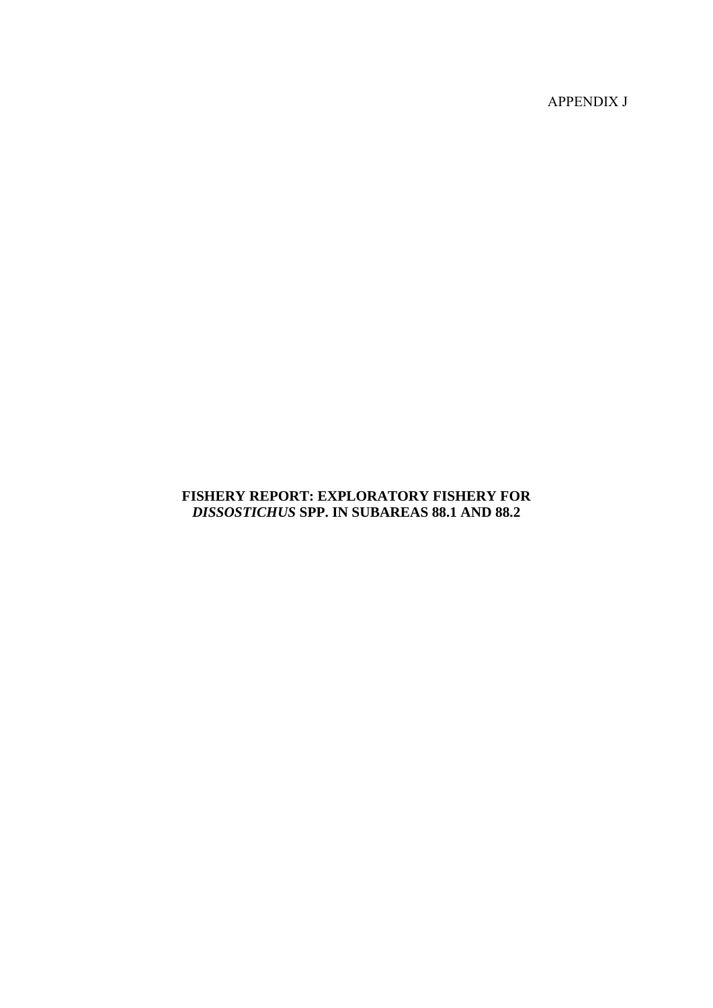APPENDIX J

# **FISHERY REPORT: EXPLORATORY FISHERY FOR**  *DISSOSTICHUS* **SPP. IN SUBAREAS 88.1 AND 88.2**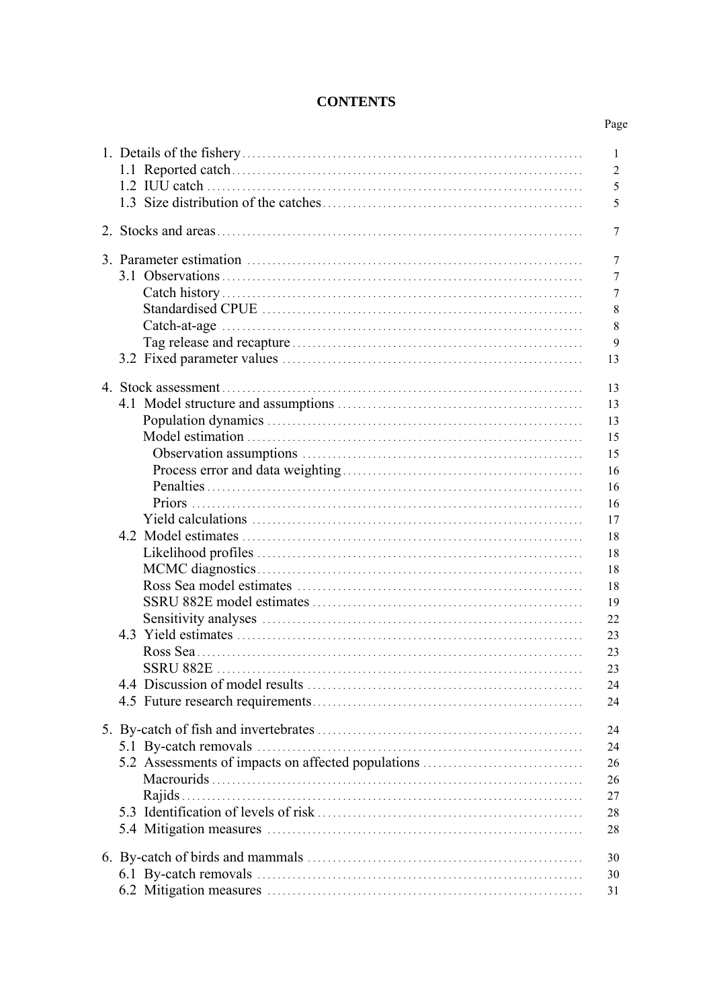# **CONTENTS**

|                                                    | 1<br>$\overline{2}$<br>5<br>5                                                                                        |
|----------------------------------------------------|----------------------------------------------------------------------------------------------------------------------|
|                                                    | 7                                                                                                                    |
|                                                    | 7<br>7<br>7<br>8<br>8<br>9<br>13                                                                                     |
|                                                    | 13<br>13<br>13<br>15<br>15<br>16<br>16<br>16<br>17<br>18<br>18<br>18<br>18<br>19<br>22<br>23<br>23<br>23<br>24<br>24 |
| 5.2 Assessments of impacts on affected populations | 24<br>24<br>26<br>26<br>27<br>28<br>28                                                                               |
|                                                    | 30<br>30<br>31                                                                                                       |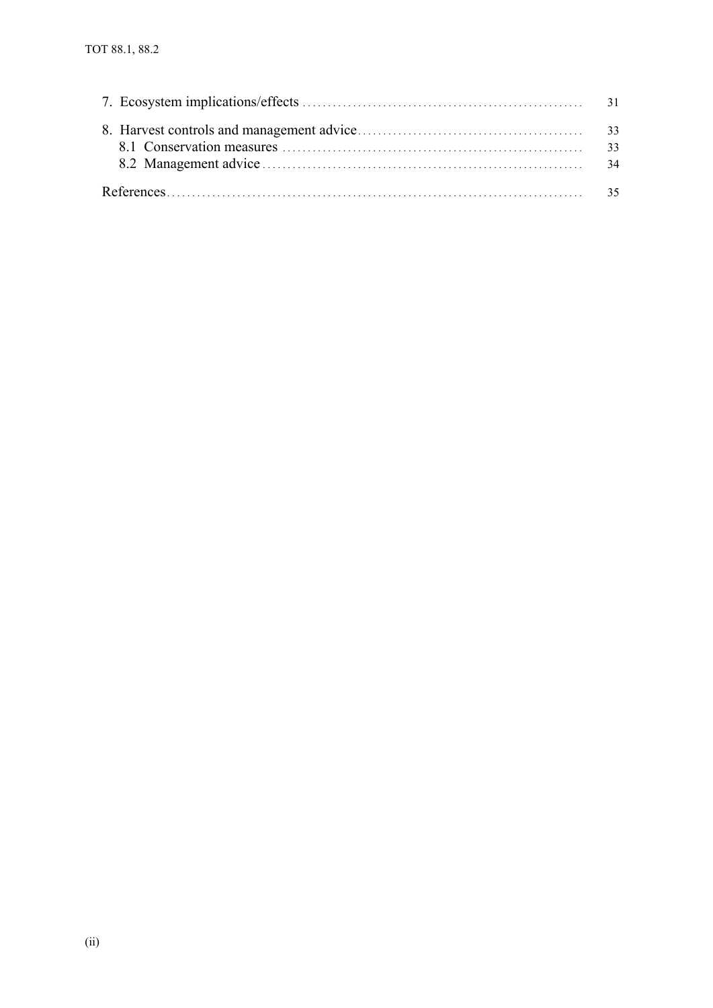| 33 |
|----|
|    |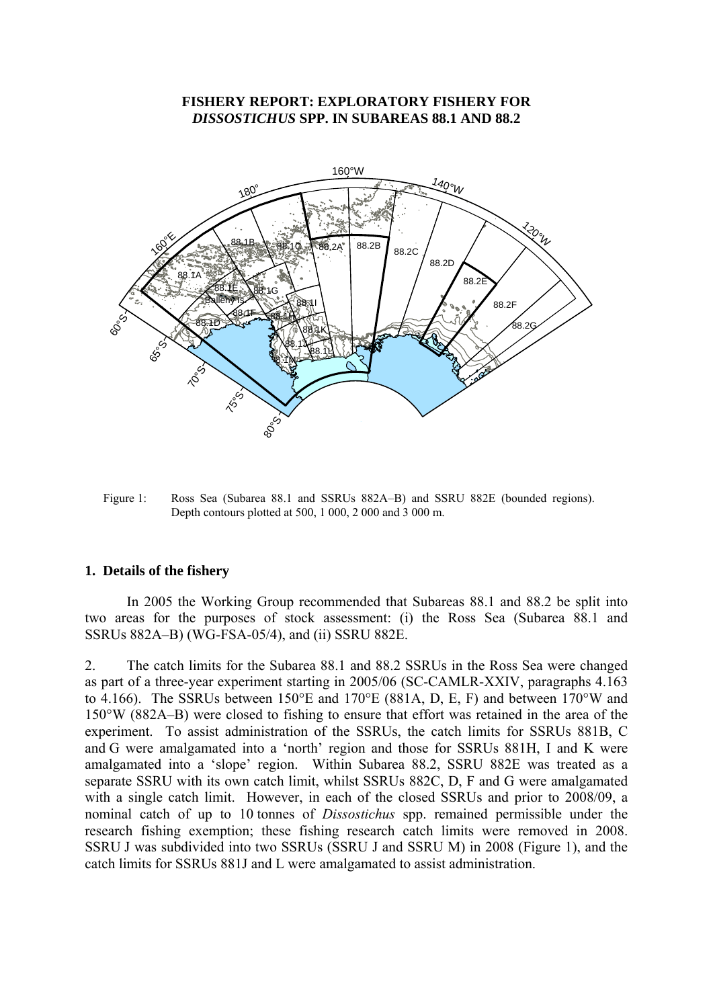### **FISHERY REPORT: EXPLORATORY FISHERY FOR**  *DISSOSTICHUS* **SPP. IN SUBAREAS 88.1 AND 88.2**

<span id="page-3-0"></span>

Figure 1: Ross Sea (Subarea 88.1 and SSRUs 882A–B) and SSRU 882E (bounded regions). Depth contours plotted at 500, 1 000, 2 000 and 3 000 m.

#### **1. Details of the fishery**

 In 2005 the Working Group recommended that Subareas 88.1 and 88.2 be split into two areas for the purposes of stock assessment: (i) the Ross Sea (Subarea 88.1 and SSRUs 882A–B) (WG-FSA-05/4), and (ii) SSRU 882E.

2. The catch limits for the Subarea 88.1 and 88.2 SSRUs in the Ross Sea were changed as part of a three-year experiment starting in 2005/06 (SC-CAMLR-XXIV, paragraphs 4.163 to 4.166). The SSRUs between 150°E and 170°E (881A, D, E, F) and between 170°W and 150°W (882A–B) were closed to fishing to ensure that effort was retained in the area of the experiment. To assist administration of the SSRUs, the catch limits for SSRUs 881B, C and G were amalgamated into a 'north' region and those for SSRUs 881H, I and K were amalgamated into a 'slope' region. Within Subarea 88.2, SSRU 882E was treated as a separate SSRU with its own catch limit, whilst SSRUs 882C, D, F and G were amalgamated with a single catch limit. However, in each of the closed SSRUs and prior to 2008/09, a nominal catch of up to 10 tonnes of *Dissostichus* spp. remained permissible under the research fishing exemption; these fishing research catch limits were removed in 2008. SSRU J was subdivided into two SSRUs (SSRU J and SSRU M) in 2008 (Figure 1), and the catch limits for SSRUs 881J and L were amalgamated to assist administration.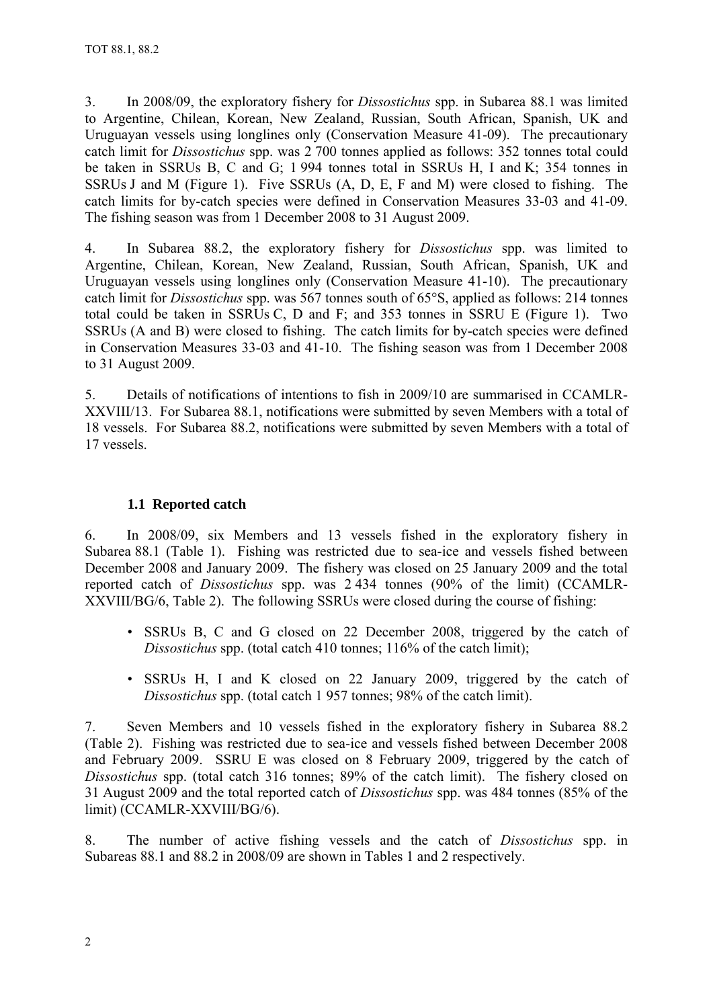<span id="page-4-0"></span>3. In 2008/09, the exploratory fishery for *Dissostichus* spp. in Subarea 88.1 was limited to Argentine, Chilean, Korean, New Zealand, Russian, South African, Spanish, UK and Uruguayan vessels using longlines only (Conservation Measure 41-09). The precautionary catch limit for *Dissostichus* spp. was 2 700 tonnes applied as follows: 352 tonnes total could be taken in SSRUs B, C and G; 1 994 tonnes total in SSRUs H, I and K; 354 tonnes in SSRUs J and M (Figure 1). Five SSRUs (A, D, E, F and M) were closed to fishing. The catch limits for by-catch species were defined in Conservation Measures 33-03 and 41-09. The fishing season was from 1 December 2008 to 31 August 2009.

4. In Subarea 88.2, the exploratory fishery for *Dissostichus* spp. was limited to Argentine, Chilean, Korean, New Zealand, Russian, South African, Spanish, UK and Uruguayan vessels using longlines only (Conservation Measure 41-10). The precautionary catch limit for *Dissostichus* spp. was 567 tonnes south of 65°S, applied as follows: 214 tonnes total could be taken in SSRUs C, D and F; and 353 tonnes in SSRU E (Figure 1). Two SSRUs (A and B) were closed to fishing. The catch limits for by-catch species were defined in Conservation Measures 33-03 and 41-10. The fishing season was from 1 December 2008 to 31 August 2009.

5. Details of notifications of intentions to fish in 2009/10 are summarised in CCAMLR-XXVIII/13. For Subarea 88.1, notifications were submitted by seven Members with a total of 18 vessels. For Subarea 88.2, notifications were submitted by seven Members with a total of 17 vessels.

# **1.1 Reported catch**

6. In 2008/09, six Members and 13 vessels fished in the exploratory fishery in Subarea 88.1 (Table 1). Fishing was restricted due to sea-ice and vessels fished between December 2008 and January 2009. The fishery was closed on 25 January 2009 and the total reported catch of *Dissostichus* spp. was 2 434 tonnes (90% of the limit) (CCAMLR-XXVIII/BG/6, Table 2). The following SSRUs were closed during the course of fishing:

- SSRUs B, C and G closed on 22 December 2008, triggered by the catch of *Dissostichus* spp. (total catch 410 tonnes; 116% of the catch limit);
- SSRUs H, I and K closed on 22 January 2009, triggered by the catch of *Dissostichus* spp. (total catch 1 957 tonnes; 98% of the catch limit).

7. Seven Members and 10 vessels fished in the exploratory fishery in Subarea 88.2 (Table 2). Fishing was restricted due to sea-ice and vessels fished between December 2008 and February 2009. SSRU E was closed on 8 February 2009, triggered by the catch of *Dissostichus* spp. (total catch 316 tonnes; 89% of the catch limit). The fishery closed on 31 August 2009 and the total reported catch of *Dissostichus* spp. was 484 tonnes (85% of the limit) (CCAMLR-XXVIII/BG/6).

8. The number of active fishing vessels and the catch of *Dissostichus* spp. in Subareas 88.1 and 88.2 in 2008/09 are shown in Tables 1 and 2 respectively.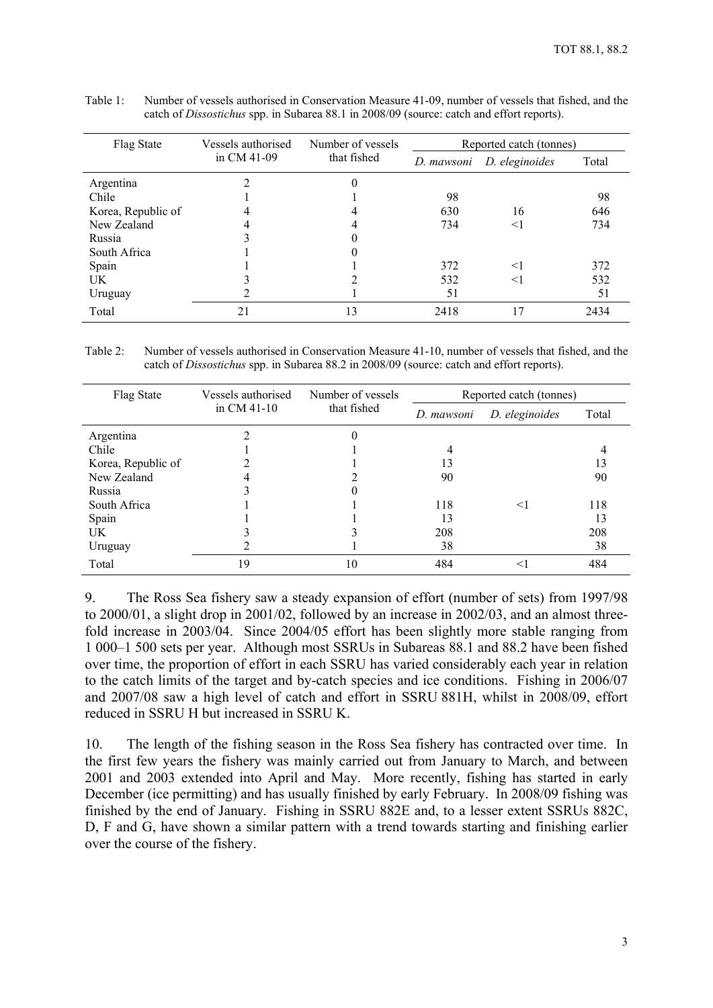| Flag State         | Vessels authorised | Number of vessels | Reported catch (tonnes)      |       |       |  |  |
|--------------------|--------------------|-------------------|------------------------------|-------|-------|--|--|
|                    | in $CM$ 41-09      | that fished       | D. eleginoides<br>D. mawsoni |       | Total |  |  |
| Argentina          |                    |                   |                              |       |       |  |  |
| Chile              |                    |                   | 98                           |       | 98    |  |  |
| Korea, Republic of | 4                  |                   | 630                          | 16    | 646   |  |  |
| New Zealand        | 4                  |                   | 734                          | $<$ 1 | 734   |  |  |
| Russia             |                    |                   |                              |       |       |  |  |
| South Africa       |                    |                   |                              |       |       |  |  |
| Spain              |                    |                   | 372                          | $<$ 1 | 372   |  |  |
| UK                 |                    |                   | 532                          | $<$ 1 | 532   |  |  |
| Uruguay            |                    |                   | 51                           |       | 51    |  |  |
| Total              | 21                 | 13                | 2418                         | 17    | 2434  |  |  |

| Table 1: | Number of vessels authorised in Conservation Measure 41-09, number of vessels that fished, and the |
|----------|----------------------------------------------------------------------------------------------------|
|          | catch of <i>Dissostichus</i> spp. in Subarea 88.1 in 2008/09 (source: catch and effort reports).   |

Table 2: Number of vessels authorised in Conservation Measure 41-10, number of vessels that fished, and the catch of *Dissostichus* spp. in Subarea 88.2 in 2008/09 (source: catch and effort reports).

| Flag State         | Vessels authorised | Number of vessels | Reported catch (tonnes) |                |       |  |  |
|--------------------|--------------------|-------------------|-------------------------|----------------|-------|--|--|
|                    | in $CM$ 41-10      | that fished       | D. mawsoni              | D. eleginoides | Total |  |  |
| Argentina          |                    | 0                 |                         |                |       |  |  |
| Chile              |                    |                   |                         |                |       |  |  |
| Korea, Republic of |                    |                   | 13                      |                | 13    |  |  |
| New Zealand        |                    |                   | 90                      |                | 90    |  |  |
| Russia             |                    |                   |                         |                |       |  |  |
| South Africa       |                    |                   | 118                     | $\leq$         | 118   |  |  |
| Spain              |                    |                   | 13                      |                | 13    |  |  |
| UK                 |                    |                   | 208                     |                | 208   |  |  |
| Uruguay            |                    |                   | 38                      |                | 38    |  |  |
| Total              | 19                 | 10                | 484                     | $\leq$         | 484   |  |  |

9. The Ross Sea fishery saw a steady expansion of effort (number of sets) from 1997/98 to 2000/01, a slight drop in 2001/02, followed by an increase in 2002/03, and an almost threefold increase in 2003/04. Since 2004/05 effort has been slightly more stable ranging from 1 000–1 500 sets per year. Although most SSRUs in Subareas 88.1 and 88.2 have been fished over time, the proportion of effort in each SSRU has varied considerably each year in relation to the catch limits of the target and by-catch species and ice conditions. Fishing in 2006/07 and 2007/08 saw a high level of catch and effort in SSRU 881H, whilst in 2008/09, effort reduced in SSRU H but increased in SSRU K.

10. The length of the fishing season in the Ross Sea fishery has contracted over time. In the first few years the fishery was mainly carried out from January to March, and between 2001 and 2003 extended into April and May. More recently, fishing has started in early December (ice permitting) and has usually finished by early February. In 2008/09 fishing was finished by the end of January. Fishing in SSRU 882E and, to a lesser extent SSRUs 882C, D, F and G, have shown a similar pattern with a trend towards starting and finishing earlier over the course of the fishery.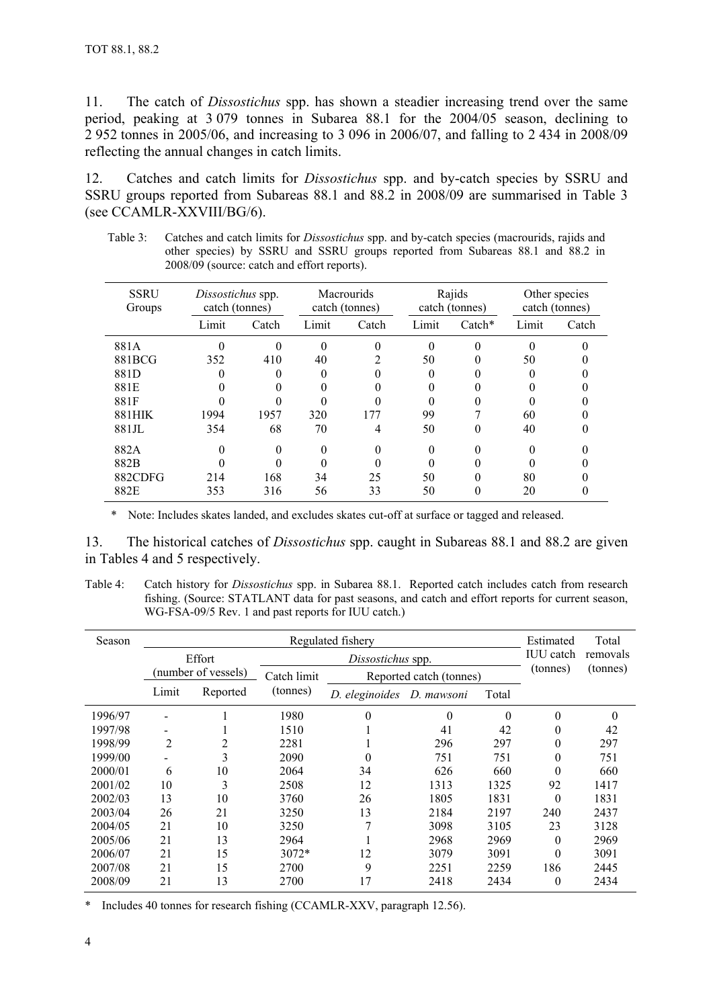11. The catch of *Dissostichus* spp. has shown a steadier increasing trend over the same period, peaking at 3 079 tonnes in Subarea 88.1 for the 2004/05 season, declining to 2 952 tonnes in 2005/06, and increasing to 3 096 in 2006/07, and falling to 2 434 in 2008/09 reflecting the annual changes in catch limits.

12. Catches and catch limits for *Dissostichus* spp. and by-catch species by SSRU and SSRU groups reported from Subareas 88.1 and 88.2 in 2008/09 are summarised in Table 3 (see CCAMLR-XXVIII/BG/6).

| <b>SSRU</b><br>Groups | Dissostichus spp.<br>catch (tonnes) |       |       | <b>Macrourids</b><br>catch (tonnes) |       | Rajids<br>catch (tonnes) |       | Other species<br>catch (tonnes) |  |
|-----------------------|-------------------------------------|-------|-------|-------------------------------------|-------|--------------------------|-------|---------------------------------|--|
|                       | Limit                               | Catch | Limit | Catch                               | Limit | $\text{Catch}^*$         | Limit | Catch                           |  |
| 881A                  |                                     |       |       |                                     | 0     |                          |       |                                 |  |
| 881BCG                | 352                                 | 410   | 40    |                                     | 50    |                          | 50    |                                 |  |
| 881D                  | 0                                   |       | 0     |                                     | 0     |                          |       |                                 |  |
| 881E                  |                                     |       |       |                                     |       |                          |       |                                 |  |
| 881F                  |                                     |       |       |                                     |       |                          |       |                                 |  |
| 881HIK                | 1994                                | 1957  | 320   | 177                                 | 99    |                          | 60    |                                 |  |
| 881JL                 | 354                                 | 68    | 70    | 4                                   | 50    |                          | 40    |                                 |  |
| 882A                  | $\theta$                            | 0     | 0     | 0                                   | 0     | 0                        |       |                                 |  |
| 882B                  |                                     |       |       |                                     |       |                          |       |                                 |  |
| 882CDFG               | 214                                 | 168   | 34    | 25                                  | 50    |                          | 80    |                                 |  |
| 882E                  | 353                                 | 316   | 56    | 33                                  | 50    | 0                        | 20    |                                 |  |

Table 3: Catches and catch limits for *Dissostichus* spp. and by-catch species (macrourids, rajids and other species) by SSRU and SSRU groups reported from Subareas 88.1 and 88.2 in 2008/09 (source: catch and effort reports).

\* Note: Includes skates landed, and excludes skates cut-off at surface or tagged and released.

13. The historical catches of *Dissostichus* spp. caught in Subareas 88.1 and 88.2 are given in Tables 4 and 5 respectively.

Table 4: Catch history for *Dissostichus* spp. in Subarea 88.1. Reported catch includes catch from research fishing. (Source: STATLANT data for past seasons, and catch and effort reports for current season, WG-FSA-09/5 Rev. 1 and past reports for IUU catch.)

| Season  | Regulated fishery |                     |             |                   |                         |          |                  | Total    |
|---------|-------------------|---------------------|-------------|-------------------|-------------------------|----------|------------------|----------|
|         |                   | Effort              |             | Dissostichus spp. |                         |          | <b>IUU</b> catch | removals |
|         |                   | (number of vessels) | Catch limit |                   | Reported catch (tonnes) |          | (tonnes)         | (tonnes) |
|         | Limit             | Reported            | (tonnes)    | D. eleginoides    | D. mawsoni              | Total    |                  |          |
| 1996/97 |                   |                     | 1980        | $\theta$          | $\theta$                | $\Omega$ | $\theta$         | $\Omega$ |
| 1997/98 |                   |                     | 1510        |                   | 41                      | 42       | $\theta$         | 42       |
| 1998/99 | $\overline{2}$    | 2                   | 2281        |                   | 296                     | 297      | $\overline{0}$   | 297      |
| 1999/00 |                   | 3                   | 2090        | 0                 | 751                     | 751      | $\overline{0}$   | 751      |
| 2000/01 | 6                 | 10                  | 2064        | 34                | 626                     | 660      | $\theta$         | 660      |
| 2001/02 | 10                | 3                   | 2508        | 12                | 1313                    | 1325     | 92               | 1417     |
| 2002/03 | 13                | 10                  | 3760        | 26                | 1805                    | 1831     | $\theta$         | 1831     |
| 2003/04 | 26                | 21                  | 3250        | 13                | 2184                    | 2197     | 240              | 2437     |
| 2004/05 | 21                | 10                  | 3250        | 7                 | 3098                    | 3105     | 23               | 3128     |
| 2005/06 | 21                | 13                  | 2964        |                   | 2968                    | 2969     | 0                | 2969     |
| 2006/07 | 21                | 15                  | $3072*$     | 12                | 3079                    | 3091     | 0                | 3091     |
| 2007/08 | 21                | 15                  | 2700        | 9                 | 2251                    | 2259     | 186              | 2445     |
| 2008/09 | 21                | 13                  | 2700        | 17                | 2418                    | 2434     | $\overline{0}$   | 2434     |

\* Includes 40 tonnes for research fishing (CCAMLR-XXV, paragraph 12.56).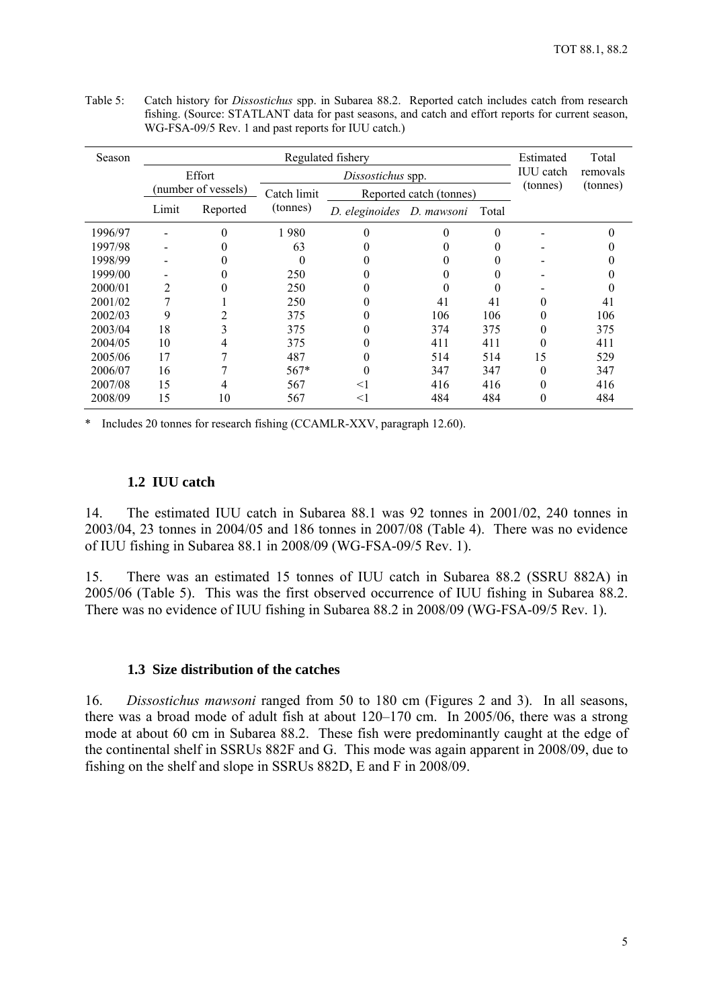| Season  | Regulated fishery<br>Estimated |                     |             |                           |                         |                  |                  | Total    |
|---------|--------------------------------|---------------------|-------------|---------------------------|-------------------------|------------------|------------------|----------|
|         |                                | Effort              |             | Dissostichus spp.         |                         |                  | <b>IUU</b> catch | removals |
|         |                                | (number of vessels) | Catch limit |                           | Reported catch (tonnes) |                  | (tonnes)         | (tonnes) |
|         | Limit                          | Reported            | (tonnes)    | D. eleginoides D. mawsoni |                         | Total            |                  |          |
| 1996/97 |                                |                     | 1980        | 0                         |                         |                  |                  |          |
| 1997/98 |                                |                     | 63          |                           |                         |                  |                  |          |
| 1998/99 |                                |                     | 0           |                           |                         |                  |                  |          |
| 1999/00 |                                |                     | 250         |                           |                         |                  |                  |          |
| 2000/01 | 2                              |                     | 250         |                           |                         | $\left( \right)$ |                  |          |
| 2001/02 |                                |                     | 250         | 0                         | 41                      | 41               | 0                | 41       |
| 2002/03 | 9                              |                     | 375         | 0                         | 106                     | 106              | 0                | 106      |
| 2003/04 | 18                             |                     | 375         | 0                         | 374                     | 375              | 0                | 375      |
| 2004/05 | 10                             | 4                   | 375         |                           | 411                     | 411              | 0                | 411      |
| 2005/06 | 17                             |                     | 487         | 0                         | 514                     | 514              | 15               | 529      |
| 2006/07 | 16                             |                     | $567*$      | 0                         | 347                     | 347              | 0                | 347      |
| 2007/08 | 15                             | 4                   | 567         | $<$ 1                     | 416                     | 416              | 0                | 416      |
| 2008/09 | 15                             | 10                  | 567         | $<$ 1                     | 484                     | 484              | 0                | 484      |

<span id="page-7-0"></span>Table 5: Catch history for *Dissostichus* spp. in Subarea 88.2. Reported catch includes catch from research fishing. (Source: STATLANT data for past seasons, and catch and effort reports for current season, WG-FSA-09/5 Rev. 1 and past reports for IUU catch.)

\* Includes 20 tonnes for research fishing (CCAMLR-XXV, paragraph 12.60).

# **1.2 IUU catch**

14. The estimated IUU catch in Subarea 88.1 was 92 tonnes in 2001/02, 240 tonnes in 2003/04, 23 tonnes in 2004/05 and 186 tonnes in 2007/08 (Table 4). There was no evidence of IUU fishing in Subarea 88.1 in 2008/09 (WG-FSA-09/5 Rev. 1).

15. There was an estimated 15 tonnes of IUU catch in Subarea 88.2 (SSRU 882A) in 2005/06 (Table 5). This was the first observed occurrence of IUU fishing in Subarea 88.2. There was no evidence of IUU fishing in Subarea 88.2 in 2008/09 (WG-FSA-09/5 Rev. 1).

#### **1.3 Size distribution of the catches**

16. *Dissostichus mawsoni* ranged from 50 to 180 cm (Figures 2 and 3). In all seasons, there was a broad mode of adult fish at about 120–170 cm. In 2005/06, there was a strong mode at about 60 cm in Subarea 88.2. These fish were predominantly caught at the edge of the continental shelf in SSRUs 882F and G. This mode was again apparent in 2008/09, due to fishing on the shelf and slope in SSRUs 882D, E and F in 2008/09.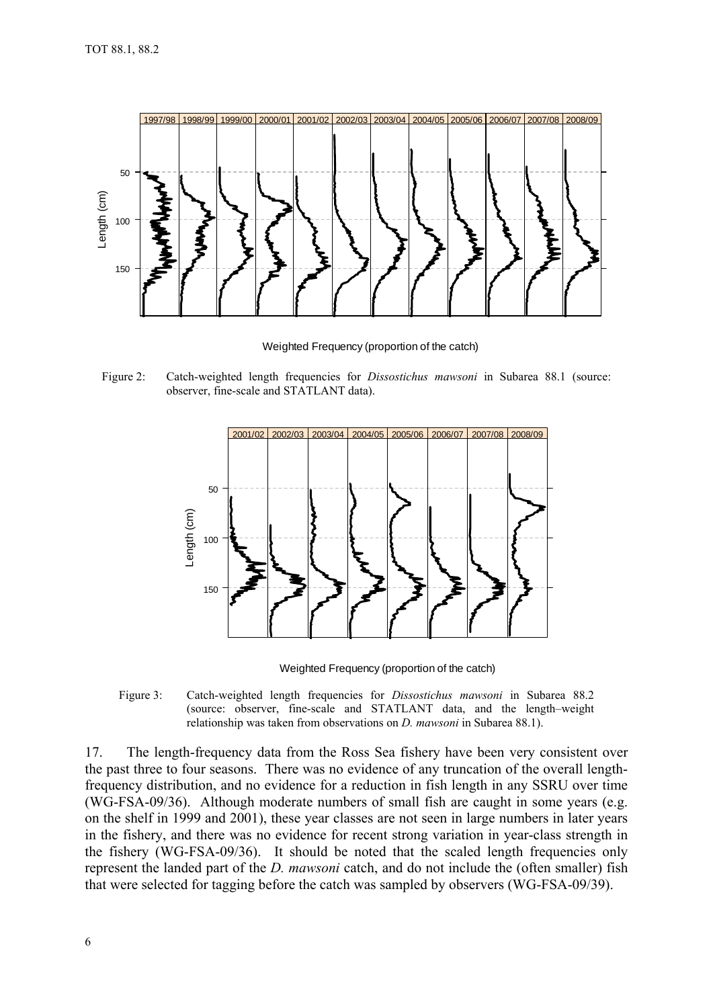

Weighted Frequency (proportion of the catch)

Figure 2: Catch-weighted length frequencies for *Dissostichus mawsoni* in Subarea 88.1 (source: observer, fine-scale and STATLANT data).



Weighted Frequency (proportion of the catch)

Figure 3: Catch-weighted length frequencies for *Dissostichus mawsoni* in Subarea 88.2 (source: observer, fine-scale and STATLANT data, and the length–weight relationship was taken from observations on *D. mawsoni* in Subarea 88.1).

17. The length-frequency data from the Ross Sea fishery have been very consistent over the past three to four seasons. There was no evidence of any truncation of the overall lengthfrequency distribution, and no evidence for a reduction in fish length in any SSRU over time (WG-FSA-09/36). Although moderate numbers of small fish are caught in some years (e.g. on the shelf in 1999 and 2001), these year classes are not seen in large numbers in later years in the fishery, and there was no evidence for recent strong variation in year-class strength in the fishery (WG-FSA-09/36). It should be noted that the scaled length frequencies only represent the landed part of the *D. mawsoni* catch, and do not include the (often smaller) fish that were selected for tagging before the catch was sampled by observers (WG-FSA-09/39).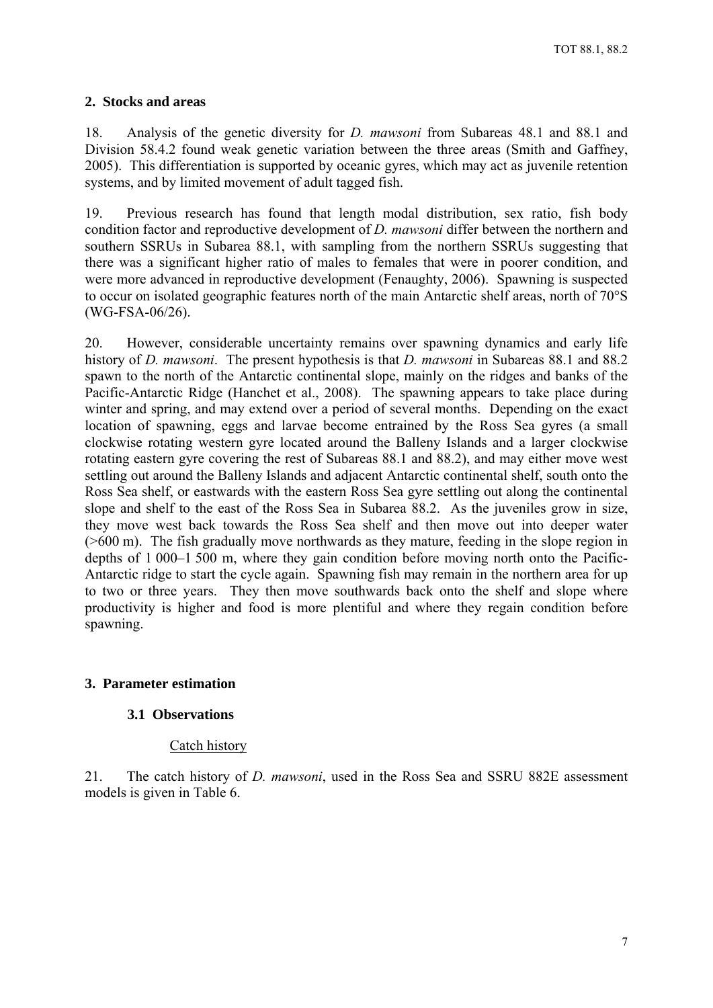## <span id="page-9-0"></span>**2. Stocks and areas**

18. Analysis of the genetic diversity for *D. mawsoni* from Subareas 48.1 and 88.1 and Division 58.4.2 found weak genetic variation between the three areas (Smith and Gaffney, 2005). This differentiation is supported by oceanic gyres, which may act as juvenile retention systems, and by limited movement of adult tagged fish.

19. Previous research has found that length modal distribution, sex ratio, fish body condition factor and reproductive development of *D. mawsoni* differ between the northern and southern SSRUs in Subarea 88.1, with sampling from the northern SSRUs suggesting that there was a significant higher ratio of males to females that were in poorer condition, and were more advanced in reproductive development (Fenaughty, 2006). Spawning is suspected to occur on isolated geographic features north of the main Antarctic shelf areas, north of 70°S (WG-FSA-06/26).

20. However, considerable uncertainty remains over spawning dynamics and early life history of *D. mawsoni*. The present hypothesis is that *D. mawsoni* in Subareas 88.1 and 88.2 spawn to the north of the Antarctic continental slope, mainly on the ridges and banks of the Pacific-Antarctic Ridge (Hanchet et al., 2008). The spawning appears to take place during winter and spring, and may extend over a period of several months. Depending on the exact location of spawning, eggs and larvae become entrained by the Ross Sea gyres (a small clockwise rotating western gyre located around the Balleny Islands and a larger clockwise rotating eastern gyre covering the rest of Subareas 88.1 and 88.2), and may either move west settling out around the Balleny Islands and adjacent Antarctic continental shelf, south onto the Ross Sea shelf, or eastwards with the eastern Ross Sea gyre settling out along the continental slope and shelf to the east of the Ross Sea in Subarea 88.2. As the juveniles grow in size, they move west back towards the Ross Sea shelf and then move out into deeper water (>600 m). The fish gradually move northwards as they mature, feeding in the slope region in depths of 1 000–1 500 m, where they gain condition before moving north onto the Pacific-Antarctic ridge to start the cycle again. Spawning fish may remain in the northern area for up to two or three years. They then move southwards back onto the shelf and slope where productivity is higher and food is more plentiful and where they regain condition before spawning.

## **3. Parameter estimation**

## **3.1 Observations**

#### Catch history

21. The catch history of *D. mawsoni*, used in the Ross Sea and SSRU 882E assessment models is given in Table 6.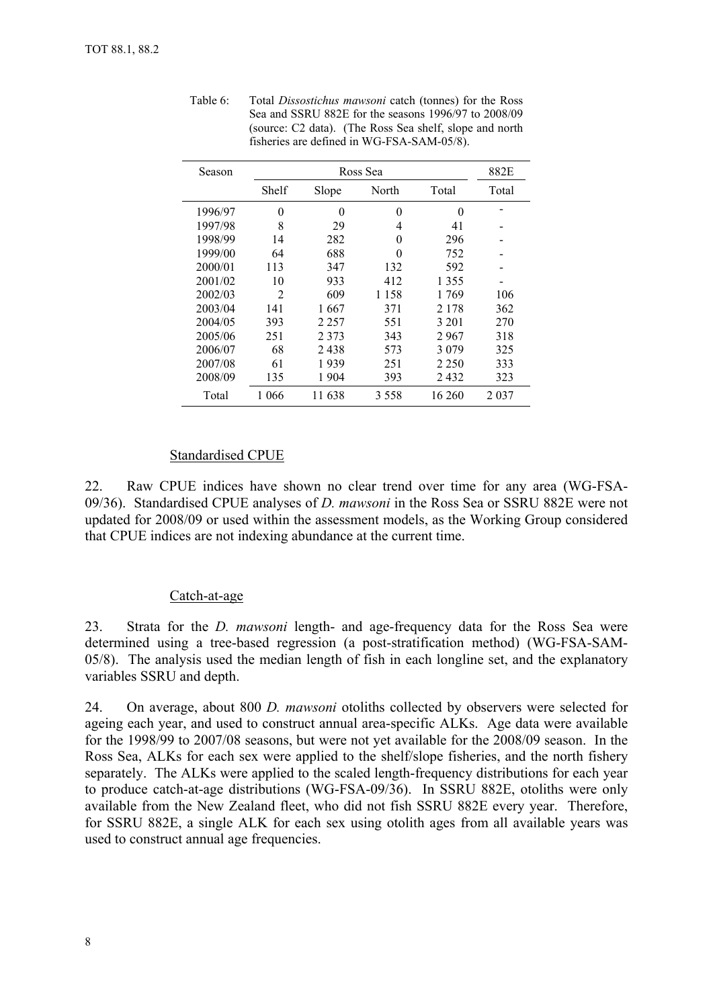| Season  |       |         | Ross Sea |          |         |  |  |
|---------|-------|---------|----------|----------|---------|--|--|
|         | Shelf | Slope   | North    | Total    | Total   |  |  |
| 1996/97 | 0     | 0       | $\Omega$ | $\Omega$ |         |  |  |
| 1997/98 | 8     | 29      | 4        | 41       |         |  |  |
| 1998/99 | 14    | 282     | 0        | 296      |         |  |  |
| 1999/00 | 64    | 688     | $\theta$ | 752      |         |  |  |
| 2000/01 | 113   | 347     | 132      | 592      |         |  |  |
| 2001/02 | 10    | 933     | 412      | 1 3 5 5  |         |  |  |
| 2002/03 | 2     | 609     | 1 1 5 8  | 1769     | 106     |  |  |
| 2003/04 | 141   | 1 667   | 371      | 2 178    | 362     |  |  |
| 2004/05 | 393   | 2 2 5 7 | 551      | 3 201    | 270     |  |  |
| 2005/06 | 251   | 2 3 7 3 | 343      | 2967     | 318     |  |  |
| 2006/07 | 68    | 2438    | 573      | 3 0 7 9  | 325     |  |  |
| 2007/08 | 61    | 1939    | 251      | 2 2 5 0  | 333     |  |  |
| 2008/09 | 135   | 1904    | 393      | 2432     | 323     |  |  |
| Total   | 1 066 | 11 638  | 3558     | 16 260   | 2 0 3 7 |  |  |

<span id="page-10-0"></span>Table 6: Total *Dissostichus mawsoni* catch (tonnes) for the Ross Sea and SSRU 882E for the seasons 1996/97 to 2008/09 (source: C2 data). (The Ross Sea shelf, slope and north fisheries are defined in WG-FSA-SAM-05/8).

#### Standardised CPUE

22. Raw CPUE indices have shown no clear trend over time for any area (WG-FSA-09/36). Standardised CPUE analyses of *D. mawsoni* in the Ross Sea or SSRU 882E were not updated for 2008/09 or used within the assessment models, as the Working Group considered that CPUE indices are not indexing abundance at the current time.

#### Catch-at-age

23. Strata for the *D. mawsoni* length- and age-frequency data for the Ross Sea were determined using a tree-based regression (a post-stratification method) (WG-FSA-SAM-05/8). The analysis used the median length of fish in each longline set, and the explanatory variables SSRU and depth.

24. On average, about 800 *D. mawsoni* otoliths collected by observers were selected for ageing each year, and used to construct annual area-specific ALKs. Age data were available for the 1998/99 to 2007/08 seasons, but were not yet available for the 2008/09 season. In the Ross Sea, ALKs for each sex were applied to the shelf/slope fisheries, and the north fishery separately. The ALKs were applied to the scaled length-frequency distributions for each year to produce catch-at-age distributions (WG-FSA-09/36). In SSRU 882E, otoliths were only available from the New Zealand fleet, who did not fish SSRU 882E every year. Therefore, for SSRU 882E, a single ALK for each sex using otolith ages from all available years was used to construct annual age frequencies.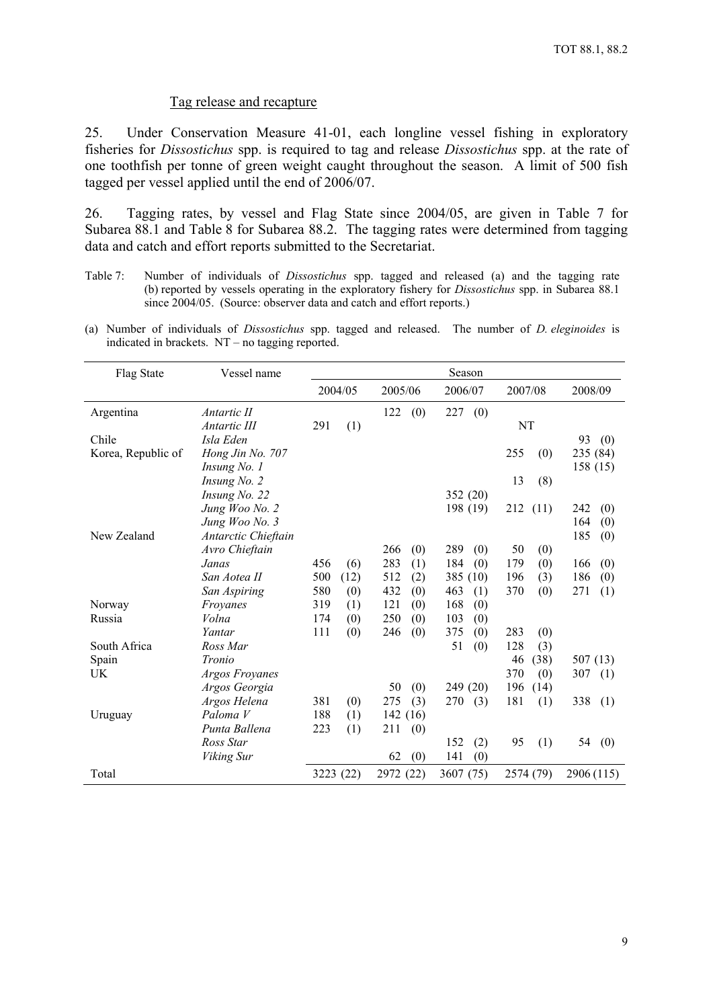#### Tag release and recapture

<span id="page-11-0"></span>25. Under Conservation Measure 41-01, each longline vessel fishing in exploratory fisheries for *Dissostichus* spp. is required to tag and release *Dissostichus* spp. at the rate of one toothfish per tonne of green weight caught throughout the season. A limit of 500 fish tagged per vessel applied until the end of 2006/07.

26. Tagging rates, by vessel and Flag State since 2004/05, are given in Table 7 for Subarea 88.1 and Table 8 for Subarea 88.2. The tagging rates were determined from tagging data and catch and effort reports submitted to the Secretariat.

- Table 7: Number of individuals of *Dissostichus* spp. tagged and released (a) and the tagging rate (b) reported by vessels operating in the exploratory fishery for *Dissostichus* spp. in Subarea 88.1 since 2004/05. (Source: observer data and catch and effort reports.)
- (a) Number of individuals of *Dissostichus* spp. tagged and released. The number of *D. eleginoides* is indicated in brackets. NT – no tagging reported.

| Flag State         | Vessel name         |     |           |           |     | Season     |             |            |
|--------------------|---------------------|-----|-----------|-----------|-----|------------|-------------|------------|
|                    |                     |     | 2004/05   | 2005/06   |     | 2006/07    | 2007/08     | 2008/09    |
| Argentina          | Antartic II         |     |           | 122       | (0) | 227<br>(0) |             |            |
|                    | Antartic III        | 291 | (1)       |           |     |            | NT          |            |
| Chile              | Isla Eden           |     |           |           |     |            |             | 93<br>(0)  |
| Korea, Republic of | Hong Jin No. 707    |     |           |           |     |            | 255<br>(0)  | 235 (84)   |
|                    | Insung No. 1        |     |           |           |     |            |             | 158 (15)   |
|                    | Insung No. 2        |     |           |           |     |            | 13<br>(8)   |            |
|                    | Insung No. 22       |     |           |           |     | 352 (20)   |             |            |
|                    | Jung Woo No. 2      |     |           |           |     | 198 (19)   | 212<br>(11) | 242<br>(0) |
|                    | Jung Woo No. 3      |     |           |           |     |            |             | 164<br>(0) |
| New Zealand        | Antarctic Chieftain |     |           |           |     |            |             | 185<br>(0) |
|                    | Avro Chieftain      |     |           | 266       | (0) | 289<br>(0) | 50<br>(0)   |            |
|                    | Janas               | 456 | (6)       | 283       | (1) | 184<br>(0) | 179<br>(0)  | 166<br>(0) |
|                    | San Aotea II        | 500 | (12)      | 512       | (2) | 385 (10)   | 196<br>(3)  | 186<br>(0) |
|                    | San Aspiring        | 580 | (0)       | 432       | (0) | 463<br>(1) | 370<br>(0)  | 271<br>(1) |
| Norway             | Froyanes            | 319 | (1)       | 121       | (0) | 168<br>(0) |             |            |
| Russia             | Volna               | 174 | (0)       | 250       | (0) | 103<br>(0) |             |            |
|                    | Yantar              | 111 | (0)       | 246       | (0) | 375<br>(0) | 283<br>(0)  |            |
| South Africa       | Ross Mar            |     |           |           |     | 51<br>(0)  | 128<br>(3)  |            |
| Spain              | Tronio              |     |           |           |     |            | 46<br>(38)  | 507 (13)   |
| UK                 | Argos Froyanes      |     |           |           |     |            | 370<br>(0)  | 307<br>(1) |
|                    | Argos Georgia       |     |           | 50        | (0) | 249 (20)   | 196<br>(14) |            |
|                    | Argos Helena        | 381 | (0)       | 275       | (3) | 270<br>(3) | 181<br>(1)  | 338<br>(1) |
| Uruguay            | Paloma <sub>V</sub> | 188 | (1)       | 142(16)   |     |            |             |            |
|                    | Punta Ballena       | 223 | (1)       | 211       | (0) |            |             |            |
|                    | Ross Star           |     |           |           |     | 152<br>(2) | 95<br>(1)   | 54<br>(0)  |
|                    | Viking Sur          |     |           | 62        | (0) | 141<br>(0) |             |            |
| Total              |                     |     | 3223 (22) | 2972 (22) |     | 3607 (75)  | 2574 (79)   | 2906 (115) |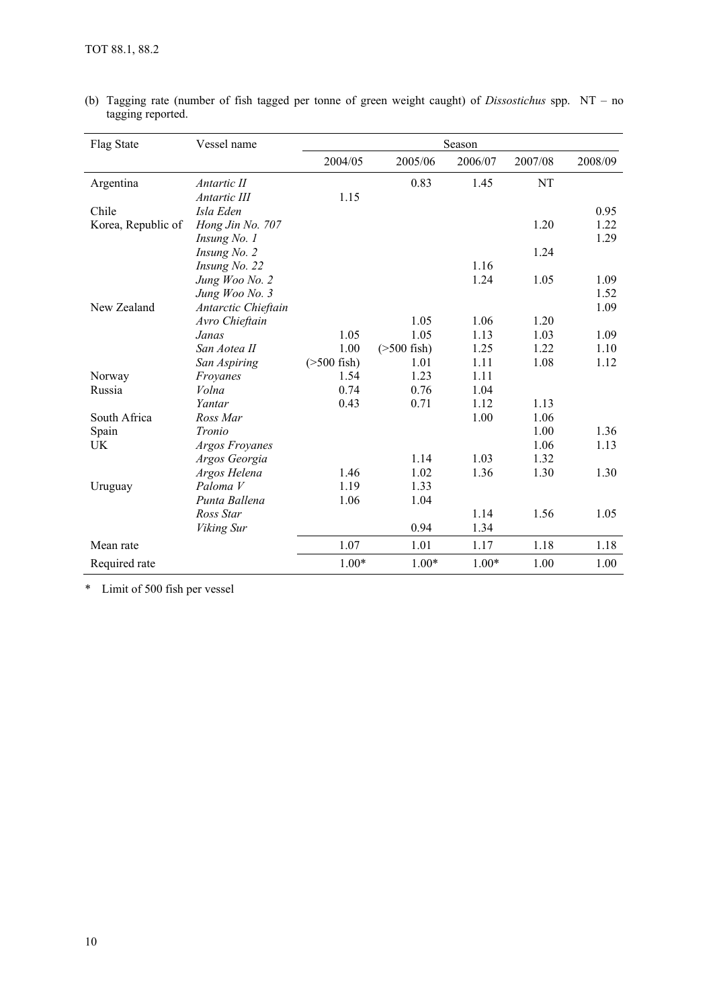| Flag State         | Vessel name         | Season         |                   |         |         |         |  |
|--------------------|---------------------|----------------|-------------------|---------|---------|---------|--|
|                    |                     | 2004/05        | 2005/06           | 2006/07 | 2007/08 | 2008/09 |  |
| Argentina          | Antartic II         |                | 0.83              | 1.45    | NT      |         |  |
|                    | Antartic III        | 1.15           |                   |         |         |         |  |
| Chile              | Isla Eden           |                |                   |         |         | 0.95    |  |
| Korea, Republic of | Hong Jin No. 707    |                |                   |         | 1.20    | 1.22    |  |
|                    | <i>Insung No. 1</i> |                |                   |         |         | 1.29    |  |
|                    | Insung No. 2        |                |                   |         | 1.24    |         |  |
|                    | Insung No. 22       |                |                   | 1.16    |         |         |  |
|                    | Jung Woo No. 2      |                |                   | 1.24    | 1.05    | 1.09    |  |
|                    | Jung Woo No. 3      |                |                   |         |         | 1.52    |  |
| New Zealand        | Antarctic Chieftain |                |                   |         |         | 1.09    |  |
|                    | Avro Chieftain      |                | 1.05              | 1.06    | 1.20    |         |  |
|                    | Janas               | 1.05           | 1.05              | 1.13    | 1.03    | 1.09    |  |
|                    | San Aotea II        | 1.00           | $($ >500 fish $)$ | 1.25    | 1.22    | 1.10    |  |
|                    | San Aspiring        | $( >500$ fish) | 1.01              | 1.11    | 1.08    | 1.12    |  |
| Norway             | Froyanes            | 1.54           | 1.23              | 1.11    |         |         |  |
| Russia             | Volna               | 0.74           | 0.76              | 1.04    |         |         |  |
|                    | Yantar              | 0.43           | 0.71              | 1.12    | 1.13    |         |  |
| South Africa       | Ross Mar            |                |                   | 1.00    | 1.06    |         |  |
| Spain              | Tronio              |                |                   |         | 1.00    | 1.36    |  |
| UK                 | Argos Froyanes      |                |                   |         | 1.06    | 1.13    |  |
|                    | Argos Georgia       |                | 1.14              | 1.03    | 1.32    |         |  |
|                    | Argos Helena        | 1.46           | 1.02              | 1.36    | 1.30    | 1.30    |  |
| Uruguay            | Paloma <sub>V</sub> | 1.19           | 1.33              |         |         |         |  |
|                    | Punta Ballena       | 1.06           | 1.04              |         |         |         |  |
|                    | Ross Star           |                |                   | 1.14    | 1.56    | 1.05    |  |
|                    | Viking Sur          |                | 0.94              | 1.34    |         |         |  |
| Mean rate          |                     | 1.07           | 1.01              | 1.17    | 1.18    | 1.18    |  |
| Required rate      |                     | $1.00*$        | $1.00*$           | $1.00*$ | 1.00    | 1.00    |  |

(b) Tagging rate (number of fish tagged per tonne of green weight caught) of *Dissostichus* spp. NT – no tagging reported.

\* Limit of 500 fish per vessel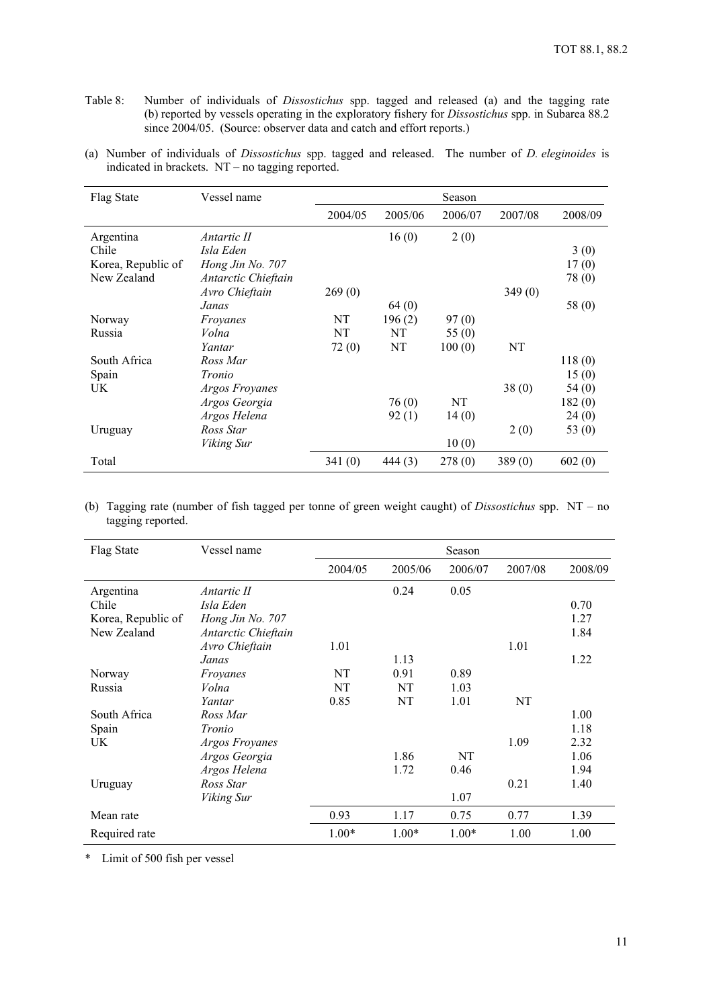- Table 8: Number of individuals of *Dissostichus* spp. tagged and released (a) and the tagging rate (b) reported by vessels operating in the exploratory fishery for *Dissostichus* spp. in Subarea 88.2 since 2004/05. (Source: observer data and catch and effort reports.)
- (a) Number of individuals of *Dissostichus* spp. tagged and released. The number of *D. eleginoides* is indicated in brackets. NT – no tagging reported.

| Flag State         | Vessel name           |         |         | Season  |         |          |
|--------------------|-----------------------|---------|---------|---------|---------|----------|
|                    |                       | 2004/05 | 2005/06 | 2006/07 | 2007/08 | 2008/09  |
| Argentina          | Antartic II           |         | 16(0)   | 2(0)    |         |          |
| Chile              | Isla Eden             |         |         |         |         | 3(0)     |
| Korea, Republic of | Hong Jin No. 707      |         |         |         |         | 17(0)    |
| New Zealand        | Antarctic Chieftain   |         |         |         |         | 78 (0)   |
|                    | Avro Chieftain        | 269(0)  |         |         | 349(0)  |          |
|                    | Janas                 |         | 64 (0)  |         |         | 58 (0)   |
| Norway             | Froyanes              | NT      | 196(2)  | 97(0)   |         |          |
| Russia             | Volna                 | NT      | NT      | 55(0)   |         |          |
|                    | Yantar                | 72(0)   | NT      | 100(0)  | NT      |          |
| South Africa       | Ross Mar              |         |         |         |         | 118(0)   |
| Spain              | Tronio                |         |         |         |         | 15(0)    |
| UK                 | <b>Argos Froyanes</b> |         |         |         | 38(0)   | 54(0)    |
|                    | Argos Georgia         |         | 76(0)   | NT      |         | 182(0)   |
|                    | Argos Helena          |         | 92(1)   | 14(0)   |         | 24 (0)   |
| Uruguay            | Ross Star             |         |         |         | 2(0)    | 53 $(0)$ |
|                    | Viking Sur            |         |         | 10(0)   |         |          |
| Total              |                       | 341(0)  | 444(3)  | 278(0)  | 389(0)  | 602(0)   |

(b) Tagging rate (number of fish tagged per tonne of green weight caught) of *Dissostichus* spp. NT – no tagging reported.

| Flag State         | Vessel name           |         |         | Season  |         |         |
|--------------------|-----------------------|---------|---------|---------|---------|---------|
|                    |                       | 2004/05 | 2005/06 | 2006/07 | 2007/08 | 2008/09 |
| Argentina          | Antartic II           |         | 0.24    | 0.05    |         |         |
| Chile              | Isla Eden             |         |         |         |         | 0.70    |
| Korea, Republic of | Hong Jin No. 707      |         |         |         |         | 1.27    |
| New Zealand        | Antarctic Chieftain   |         |         |         |         | 1.84    |
|                    | Avro Chieftain        | 1.01    |         |         | 1.01    |         |
|                    | Janas                 |         | 1.13    |         |         | 1.22    |
| Norway             | Froyanes              | NT      | 0.91    | 0.89    |         |         |
| Russia             | Volna                 | NT      | NT      | 1.03    |         |         |
|                    | Yantar                | 0.85    | NT      | 1.01    | NT      |         |
| South Africa       | Ross Mar              |         |         |         |         | 1.00    |
| Spain              | Tronio                |         |         |         |         | 1.18    |
| UK.                | <b>Argos Froyanes</b> |         |         |         | 1.09    | 2.32    |
|                    | Argos Georgia         |         | 1.86    | NT      |         | 1.06    |
|                    | Argos Helena          |         | 1.72    | 0.46    |         | 1.94    |
| Uruguay            | Ross Star             |         |         |         | 0.21    | 1.40    |
|                    | Viking Sur            |         |         | 1.07    |         |         |
| Mean rate          |                       | 0.93    | 1.17    | 0.75    | 0.77    | 1.39    |
| Required rate      |                       | $1.00*$ | $1.00*$ | $1.00*$ | 1.00    | 1.00    |

\* Limit of 500 fish per vessel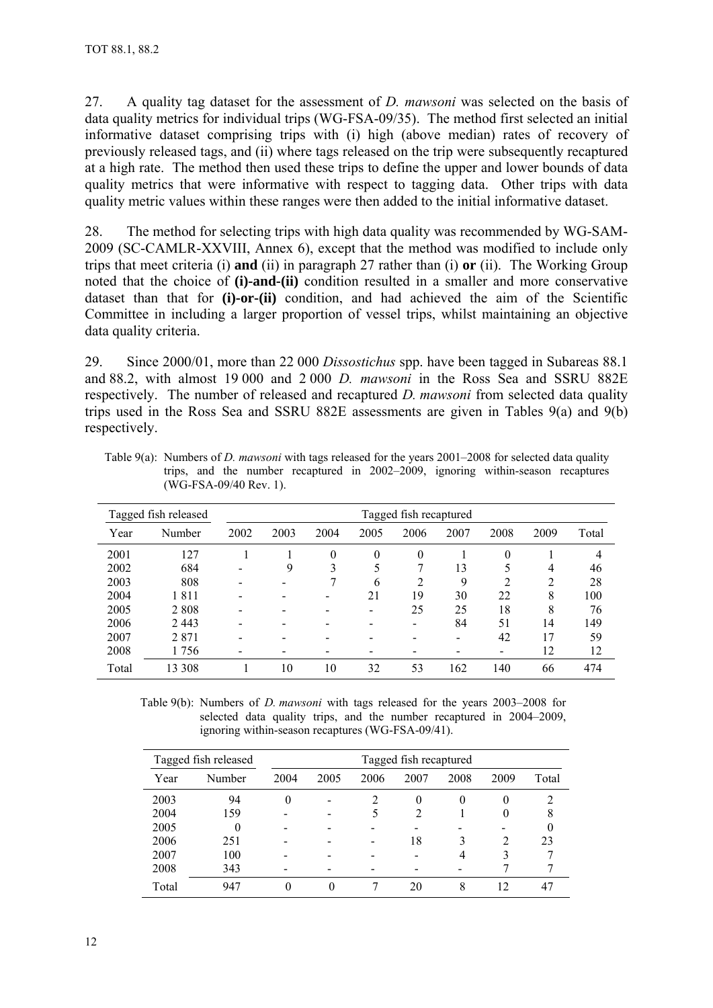27. A quality tag dataset for the assessment of *D. mawsoni* was selected on the basis of data quality metrics for individual trips (WG-FSA-09/35). The method first selected an initial informative dataset comprising trips with (i) high (above median) rates of recovery of previously released tags, and (ii) where tags released on the trip were subsequently recaptured at a high rate. The method then used these trips to define the upper and lower bounds of data quality metrics that were informative with respect to tagging data. Other trips with data quality metric values within these ranges were then added to the initial informative dataset.

28. The method for selecting trips with high data quality was recommended by WG-SAM-2009 (SC-CAMLR-XXVIII, Annex 6), except that the method was modified to include only trips that meet criteria (i) **and** (ii) in paragraph 27 rather than (i) **or** (ii). The Working Group noted that the choice of **(i)-and-(ii)** condition resulted in a smaller and more conservative dataset than that for **(i)-or-(ii)** condition, and had achieved the aim of the Scientific Committee in including a larger proportion of vessel trips, whilst maintaining an objective data quality criteria.

29. Since 2000/01, more than 22 000 *Dissostichus* spp. have been tagged in Subareas 88.1 and 88.2, with almost 19 000 and 2 000 *D. mawsoni* in the Ross Sea and SSRU 882E respectively. The number of released and recaptured *D. mawsoni* from selected data quality trips used in the Ross Sea and SSRU 882E assessments are given in Tables 9(a) and 9(b) respectively.

|       | Tagged fish released |                              |      |          |      | Tagged fish recaptured |      |          |      |       |
|-------|----------------------|------------------------------|------|----------|------|------------------------|------|----------|------|-------|
| Year  | Number               | 2002                         | 2003 | 2004     | 2005 | 2006                   | 2007 | 2008     | 2009 | Total |
| 2001  | 127                  |                              |      | $\theta$ | 0    | $\theta$               |      | $\theta$ |      | 4     |
| 2002  | 684                  | $\qquad \qquad \blacksquare$ | 9    | 3        | 5    | 7                      | 13   |          | 4    | 46    |
| 2003  | 808                  |                              |      |          | 6    | 2                      | 9    | ∍        | ↑    | 28    |
| 2004  | 1811                 |                              |      |          | 21   | 19                     | 30   | 22       | 8    | 100   |
| 2005  | 2808                 | -                            |      |          | -    | 25                     | 25   | 18       | 8    | 76    |
| 2006  | 2443                 | -                            |      |          |      | -                      | 84   | 51       | 14   | 149   |
| 2007  | 2871                 | $\overline{\phantom{0}}$     |      |          |      |                        |      | 42       | 17   | 59    |
| 2008  | 1 756                | $\,$                         |      |          |      |                        |      | -        | 12   | 12    |
| Total | 13 308               |                              | 10   | 10       | 32   | 53                     | 162  | 140      | 66   | 474   |

Table 9(a): Numbers of *D. mawsoni* with tags released for the years 2001–2008 for selected data quality trips, and the number recaptured in 2002–2009, ignoring within-season recaptures (WG-FSA-09/40 Rev. 1).

Table 9(b): Numbers of *D. mawsoni* with tags released for the years 2003–2008 for selected data quality trips, and the number recaptured in 2004–2009, ignoring within-season recaptures (WG-FSA-09/41).

|       | Tagged fish released | Tagged fish recaptured |          |      |          |      |                             |       |
|-------|----------------------|------------------------|----------|------|----------|------|-----------------------------|-------|
| Year  | Number               | 2004                   | 2005     | 2006 | 2007     | 2008 | 2009                        | Total |
| 2003  | 94                   |                        |          |      | $\theta$ | 0    | 0                           |       |
| 2004  | 159                  |                        |          |      | 2        |      | 0                           | 8     |
| 2005  |                      |                        |          |      |          |      |                             |       |
| 2006  | 251                  |                        |          |      | 18       | 3    | $\mathcal{D}_{\mathcal{L}}$ | 23    |
| 2007  | 100                  |                        |          |      |          | 4    | 3                           |       |
| 2008  | 343                  |                        |          |      |          |      |                             |       |
| Total | 947                  | 0                      | $\theta$ |      | 20       | 8    | 12                          |       |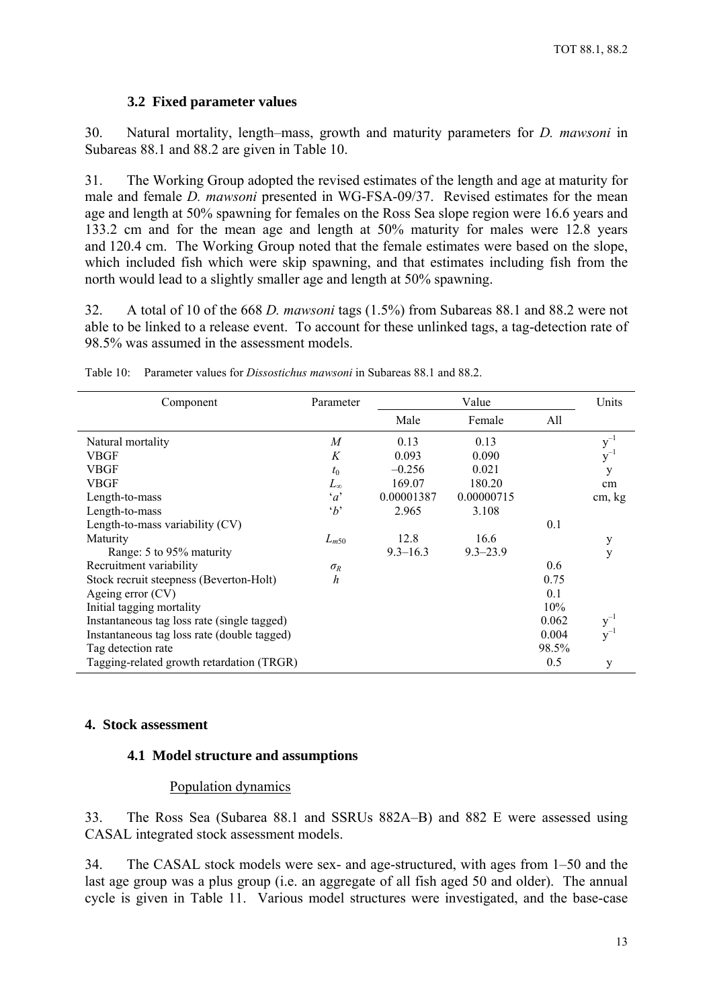## **3.2 Fixed parameter values**

<span id="page-15-0"></span>30. Natural mortality, length–mass, growth and maturity parameters for *D. mawsoni* in Subareas 88.1 and 88.2 are given in Table 10.

31. The Working Group adopted the revised estimates of the length and age at maturity for male and female *D. mawsoni* presented in WG-FSA-09/37. Revised estimates for the mean age and length at 50% spawning for females on the Ross Sea slope region were 16.6 years and 133.2 cm and for the mean age and length at 50% maturity for males were 12.8 years and 120.4 cm. The Working Group noted that the female estimates were based on the slope, which included fish which were skip spawning, and that estimates including fish from the north would lead to a slightly smaller age and length at 50% spawning.

32. A total of 10 of the 668 *D. mawsoni* tags (1.5%) from Subareas 88.1 and 88.2 were not able to be linked to a release event. To account for these unlinked tags, a tag-detection rate of 98.5% was assumed in the assessment models.

| Component                                   | Parameter        |              | Value        |       | Units    |
|---------------------------------------------|------------------|--------------|--------------|-------|----------|
|                                             |                  | Male         | Female       | All   |          |
| Natural mortality                           | $\boldsymbol{M}$ | 0.13         | 0.13         |       | $y^{-1}$ |
| VBGF                                        | K                | 0.093        | 0.090        |       | $v^{-1}$ |
| <b>VBGF</b>                                 | $t_0$            | $-0.256$     | 0.021        |       | у        |
| <b>VBGF</b>                                 | $L_{\infty}$     | 169.07       | 180.20       |       | cm       |
| Length-to-mass                              | $\alpha$         | 0.00001387   | 0.00000715   |       | cm, kg   |
| Length-to-mass                              | $\Delta$         | 2.965        | 3.108        |       |          |
| Length-to-mass variability (CV)             |                  |              |              | 0.1   |          |
| Maturity                                    | $L_{m50}$        | 12.8         | 16.6         |       | y        |
| Range: 5 to 95% maturity                    |                  | $9.3 - 16.3$ | $9.3 - 23.9$ |       | У        |
| Recruitment variability                     | $\sigma_R$       |              |              | 0.6   |          |
| Stock recruit steepness (Beverton-Holt)     | h                |              |              | 0.75  |          |
| Ageing error $(CV)$                         |                  |              |              | 0.1   |          |
| Initial tagging mortality                   |                  |              |              | 10%   |          |
| Instantaneous tag loss rate (single tagged) |                  |              |              | 0.062 | $y^-$    |
| Instantaneous tag loss rate (double tagged) |                  |              |              | 0.004 | $v^{-1}$ |
| Tag detection rate                          |                  |              |              | 98.5% |          |
| Tagging-related growth retardation (TRGR)   |                  |              |              | 0.5   | y        |

Table 10: Parameter values for *Dissostichus mawsoni* in Subareas 88.1 and 88.2.

#### **4. Stock assessment**

#### **4.1 Model structure and assumptions**

#### Population dynamics

33. The Ross Sea (Subarea 88.1 and SSRUs 882A–B) and 882 E were assessed using CASAL integrated stock assessment models.

34. The CASAL stock models were sex- and age-structured, with ages from 1–50 and the last age group was a plus group (i.e. an aggregate of all fish aged 50 and older). The annual cycle is given in Table 11. Various model structures were investigated, and the base-case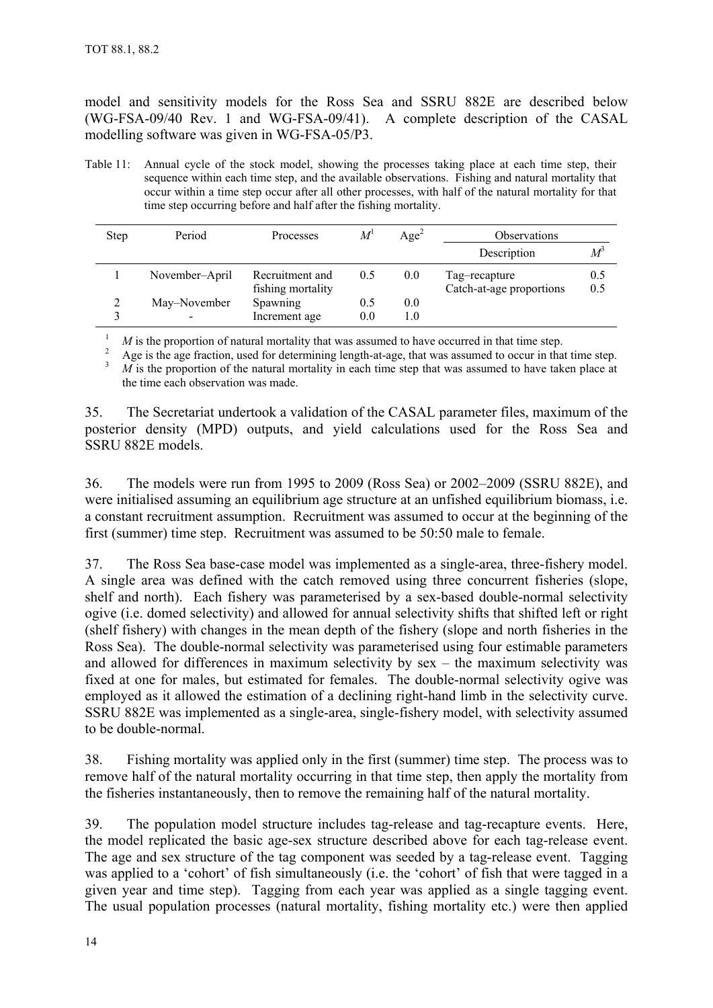model and sensitivity models for the Ross Sea and SSRU 882E are described below (WG-FSA-09/40 Rev. 1 and WG-FSA-09/41). A complete description of the CASAL modelling software was given in WG-FSA-05/P3.

Table 11: Annual cycle of the stock model, showing the processes taking place at each time step, their sequence within each time step, and the available observations. Fishing and natural mortality that occur within a time step occur after all other processes, with half of the natural mortality for that time step occurring before and half after the fishing mortality.

| <b>Step</b> | Period         | Processes                            | $M^1$      | Age <sup>2</sup> | <b>Observations</b>                       |                |
|-------------|----------------|--------------------------------------|------------|------------------|-------------------------------------------|----------------|
|             |                |                                      |            |                  | Description                               | М <sup>3</sup> |
|             | November-April | Recruitment and<br>fishing mortality | 0.5        | 0.0              | Tag-recapture<br>Catch-at-age proportions | 0.5<br>0.5     |
|             | May–November   | <b>Spawning</b><br>Increment age     | 0.5<br>0.0 | 0.0<br>1.0       |                                           |                |

 $\frac{1}{2}$  *M* is the proportion of natural mortality that was assumed to have occurred in that time step.

<sup>2</sup> Age is the age fraction, used for determining length-at-age, that was assumed to occur in that time step. 3 *M* is the proportion of the natural mortality in each time step that was assumed to have taken place at the time each observation was made.

35. The Secretariat undertook a validation of the CASAL parameter files, maximum of the posterior density (MPD) outputs, and yield calculations used for the Ross Sea and SSRU 882E models.

36. The models were run from 1995 to 2009 (Ross Sea) or 2002–2009 (SSRU 882E), and were initialised assuming an equilibrium age structure at an unfished equilibrium biomass, i.e. a constant recruitment assumption. Recruitment was assumed to occur at the beginning of the first (summer) time step. Recruitment was assumed to be 50:50 male to female.

37. The Ross Sea base-case model was implemented as a single-area, three-fishery model. A single area was defined with the catch removed using three concurrent fisheries (slope, shelf and north). Each fishery was parameterised by a sex-based double-normal selectivity ogive (i.e. domed selectivity) and allowed for annual selectivity shifts that shifted left or right (shelf fishery) with changes in the mean depth of the fishery (slope and north fisheries in the Ross Sea). The double-normal selectivity was parameterised using four estimable parameters and allowed for differences in maximum selectivity by sex – the maximum selectivity was fixed at one for males, but estimated for females. The double-normal selectivity ogive was employed as it allowed the estimation of a declining right-hand limb in the selectivity curve. SSRU 882E was implemented as a single-area, single-fishery model, with selectivity assumed to be double-normal.

38. Fishing mortality was applied only in the first (summer) time step. The process was to remove half of the natural mortality occurring in that time step, then apply the mortality from the fisheries instantaneously, then to remove the remaining half of the natural mortality.

39. The population model structure includes tag-release and tag-recapture events. Here, the model replicated the basic age-sex structure described above for each tag-release event. The age and sex structure of the tag component was seeded by a tag-release event. Tagging was applied to a 'cohort' of fish simultaneously (i.e. the 'cohort' of fish that were tagged in a given year and time step). Tagging from each year was applied as a single tagging event. The usual population processes (natural mortality, fishing mortality etc.) were then applied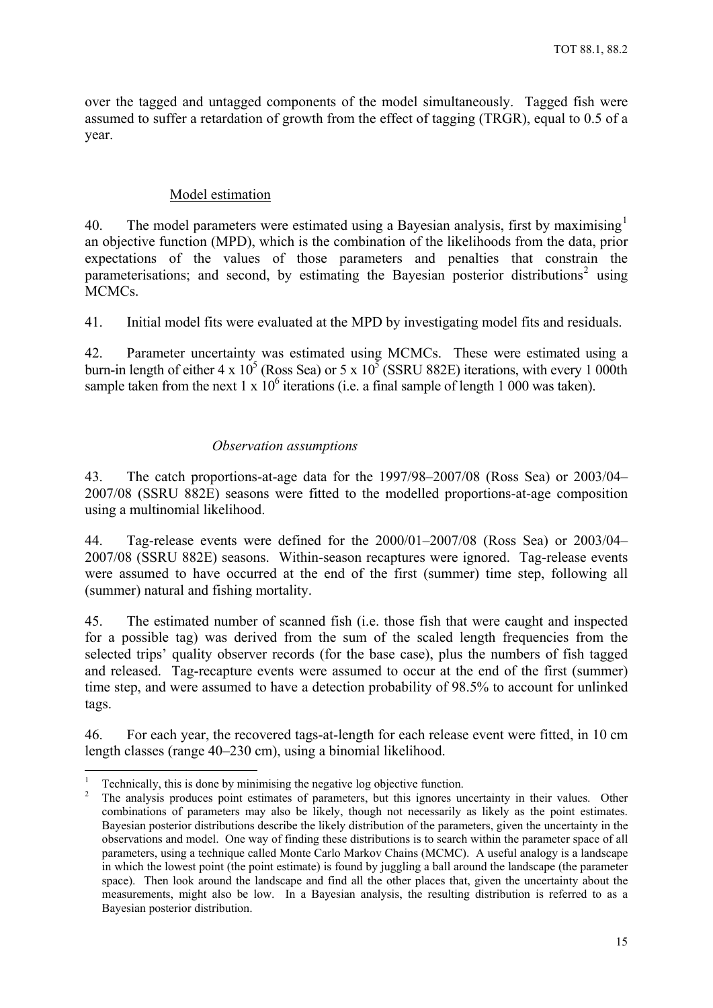<span id="page-17-0"></span>over the tagged and untagged components of the model simultaneously. Tagged fish were assumed to suffer a retardation of growth from the effect of tagging (TRGR), equal to 0.5 of a year.

## Model estimation

40. The model parameters were estimated using a Bayesian analysis, first by maximising  $1$ an objective function (MPD), which is the combination of the likelihoods from the data, prior expectations of the values of those parameters and penalties that constrain the parameterisations; and second, by estimating the Bayesian posterior distributions<sup>[2](#page-17-2)</sup> using MCMCs.

41. Initial model fits were evaluated at the MPD by investigating model fits and residuals.

42. Parameter uncertainty was estimated using MCMCs. These were estimated using a burn-in length of either 4 x  $10^5$  (Ross Sea) or 5 x  $10^5$  (SSRU 882E) iterations, with every 1 000th sample taken from the next 1 x  $10^6$  iterations (i.e. a final sample of length 1 000 was taken).

#### *Observation assumptions*

43. The catch proportions-at-age data for the 1997/98–2007/08 (Ross Sea) or 2003/04– 2007/08 (SSRU 882E) seasons were fitted to the modelled proportions-at-age composition using a multinomial likelihood.

44. Tag-release events were defined for the 2000/01–2007/08 (Ross Sea) or 2003/04– 2007/08 (SSRU 882E) seasons. Within-season recaptures were ignored. Tag-release events were assumed to have occurred at the end of the first (summer) time step, following all (summer) natural and fishing mortality.

45. The estimated number of scanned fish (i.e. those fish that were caught and inspected for a possible tag) was derived from the sum of the scaled length frequencies from the selected trips' quality observer records (for the base case), plus the numbers of fish tagged and released. Tag-recapture events were assumed to occur at the end of the first (summer) time step, and were assumed to have a detection probability of 98.5% to account for unlinked tags.

46. For each year, the recovered tags-at-length for each release event were fitted, in 10 cm length classes (range 40–230 cm), using a binomial likelihood.

1

<sup>1</sup> Technically, this is done by minimising the negative log objective function.

<span id="page-17-2"></span><span id="page-17-1"></span><sup>2</sup> The analysis produces point estimates of parameters, but this ignores uncertainty in their values. Other combinations of parameters may also be likely, though not necessarily as likely as the point estimates. Bayesian posterior distributions describe the likely distribution of the parameters, given the uncertainty in the observations and model. One way of finding these distributions is to search within the parameter space of all parameters, using a technique called Monte Carlo Markov Chains (MCMC). A useful analogy is a landscape in which the lowest point (the point estimate) is found by juggling a ball around the landscape (the parameter space). Then look around the landscape and find all the other places that, given the uncertainty about the measurements, might also be low. In a Bayesian analysis, the resulting distribution is referred to as a Bayesian posterior distribution.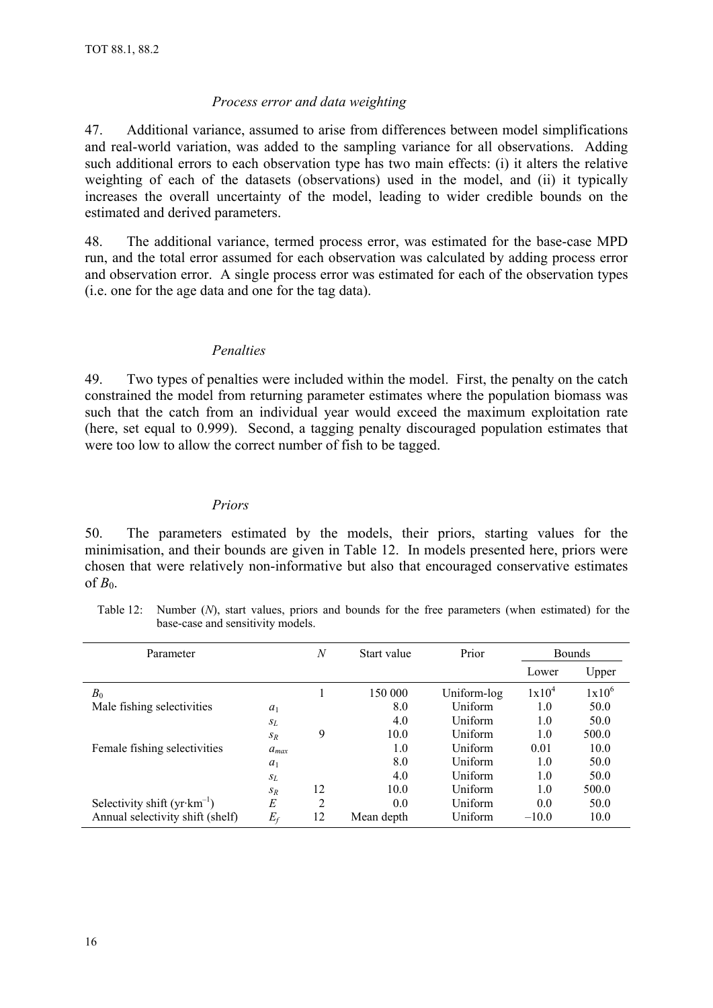## *Process error and data weighting*

<span id="page-18-0"></span>47. Additional variance, assumed to arise from differences between model simplifications and real-world variation, was added to the sampling variance for all observations. Adding such additional errors to each observation type has two main effects: (i) it alters the relative weighting of each of the datasets (observations) used in the model, and (ii) it typically increases the overall uncertainty of the model, leading to wider credible bounds on the estimated and derived parameters.

48. The additional variance, termed process error, was estimated for the base-case MPD run, and the total error assumed for each observation was calculated by adding process error and observation error. A single process error was estimated for each of the observation types (i.e. one for the age data and one for the tag data).

## *Penalties*

49. Two types of penalties were included within the model. First, the penalty on the catch constrained the model from returning parameter estimates where the population biomass was such that the catch from an individual year would exceed the maximum exploitation rate (here, set equal to 0.999). Second, a tagging penalty discouraged population estimates that were too low to allow the correct number of fish to be tagged.

### *Priors*

50. The parameters estimated by the models, their priors, starting values for the minimisation, and their bounds are given in Table 12. In models presented here, priors were chosen that were relatively non-informative but also that encouraged conservative estimates of  $B_0$ .

Table 12: Number (*N*), start values, priors and bounds for the free parameters (when estimated) for the base-case and sensitivity models.

| Parameter                             |           | N  | Start value | Prior       |                   | <b>Bounds</b> |
|---------------------------------------|-----------|----|-------------|-------------|-------------------|---------------|
|                                       |           |    |             |             | Lower             | Upper         |
| $B_0$                                 |           |    | 150 000     | Uniform-log | 1x10 <sup>4</sup> | $1x10^6$      |
| Male fishing selectivities            | $a_1$     |    | 8.0         | Uniform     | 1.0               | 50.0          |
|                                       | $S_L$     |    | 4.0         | Uniform     | 1.0               | 50.0          |
|                                       | $S_R$     | 9  | 10.0        | Uniform     | 1.0               | 500.0         |
| Female fishing selectivities          | $a_{max}$ |    | 1.0         | Uniform     | 0.01              | 10.0          |
|                                       | $a_1$     |    | 8.0         | Uniform     | 1.0               | 50.0          |
|                                       | $S_L$     |    | 4.0         | Uniform     | 1.0               | 50.0          |
|                                       | $S_R$     | 12 | 10.0        | Uniform     | 1.0               | 500.0         |
| Selectivity shift $(yr\cdot km^{-1})$ | E         | 2  | 0.0         | Uniform     | 0.0               | 50.0          |
| Annual selectivity shift (shelf)      | $E_f$     | 12 | Mean depth  | Uniform     | $-10.0$           | 10.0          |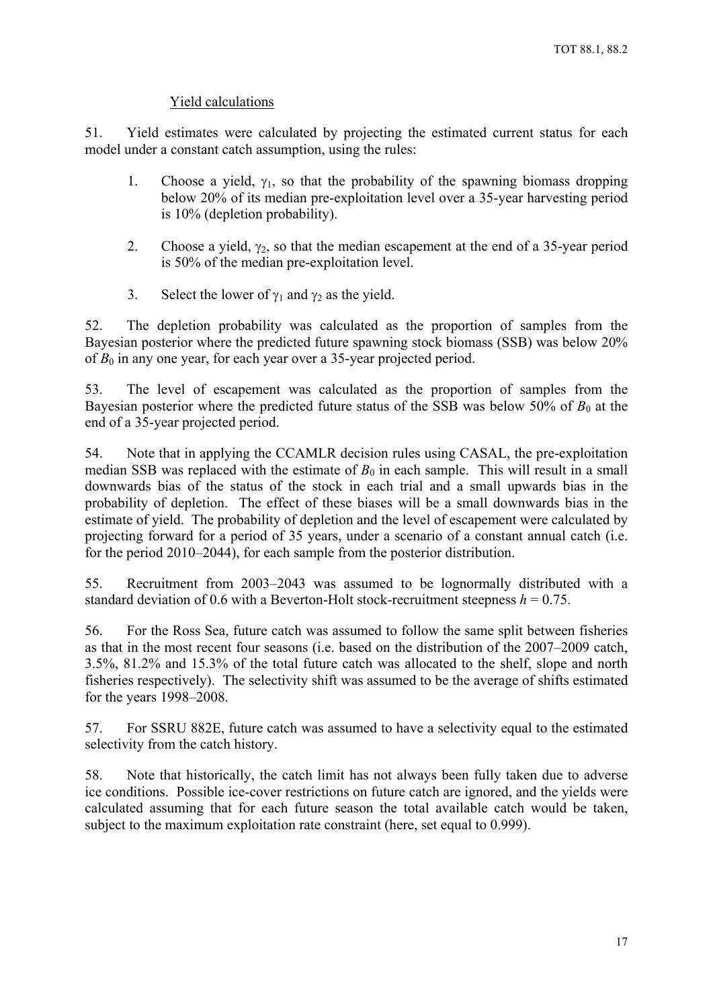# Yield calculations

<span id="page-19-0"></span>51. Yield estimates were calculated by projecting the estimated current status for each model under a constant catch assumption, using the rules:

- 1. Choose a yield,  $\gamma_1$ , so that the probability of the spawning biomass dropping below 20% of its median pre-exploitation level over a 35-year harvesting period is 10% (depletion probability).
- 2. Choose a yield,  $\gamma_2$ , so that the median escapement at the end of a 35-year period is 50% of the median pre-exploitation level.
- 3. Select the lower of  $\gamma_1$  and  $\gamma_2$  as the yield.

52. The depletion probability was calculated as the proportion of samples from the Bayesian posterior where the predicted future spawning stock biomass (SSB) was below 20% of  $B_0$  in any one year, for each year over a 35-year projected period.

53. The level of escapement was calculated as the proportion of samples from the Bayesian posterior where the predicted future status of the SSB was below 50% of  $B_0$  at the end of a 35-year projected period.

54. Note that in applying the CCAMLR decision rules using CASAL, the pre-exploitation median SSB was replaced with the estimate of  $B_0$  in each sample. This will result in a small downwards bias of the status of the stock in each trial and a small upwards bias in the probability of depletion. The effect of these biases will be a small downwards bias in the estimate of yield. The probability of depletion and the level of escapement were calculated by projecting forward for a period of 35 years, under a scenario of a constant annual catch (i.e. for the period 2010–2044), for each sample from the posterior distribution.

55. Recruitment from 2003–2043 was assumed to be lognormally distributed with a standard deviation of 0.6 with a Beverton-Holt stock-recruitment steepness  $h = 0.75$ .

56. For the Ross Sea, future catch was assumed to follow the same split between fisheries as that in the most recent four seasons (i.e. based on the distribution of the 2007–2009 catch, 3.5%, 81.2% and 15.3% of the total future catch was allocated to the shelf, slope and north fisheries respectively). The selectivity shift was assumed to be the average of shifts estimated for the years 1998–2008.

57. For SSRU 882E, future catch was assumed to have a selectivity equal to the estimated selectivity from the catch history.

58. Note that historically, the catch limit has not always been fully taken due to adverse ice conditions. Possible ice-cover restrictions on future catch are ignored, and the yields were calculated assuming that for each future season the total available catch would be taken, subject to the maximum exploitation rate constraint (here, set equal to 0.999).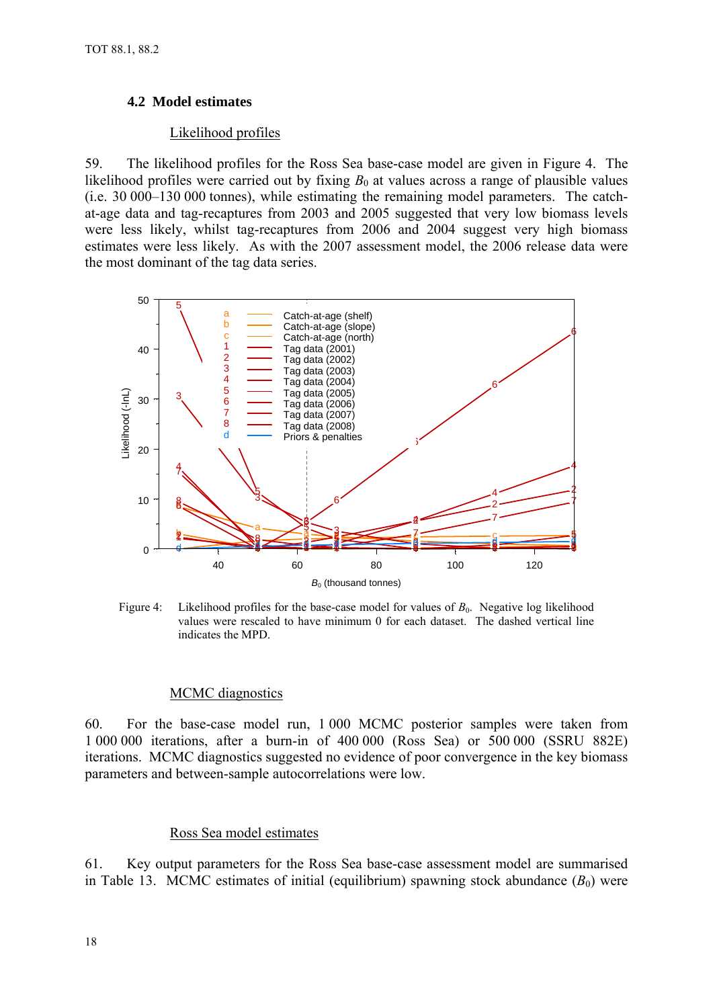## <span id="page-20-0"></span>**4.2 Model estimates**

## Likelihood profiles

59. The likelihood profiles for the Ross Sea base-case model are given in Figure 4. The likelihood profiles were carried out by fixing  $B_0$  at values across a range of plausible values (i.e. 30 000–130 000 tonnes), while estimating the remaining model parameters. The catchat-age data and tag-recaptures from 2003 and 2005 suggested that very low biomass levels were less likely, whilst tag-recaptures from 2006 and 2004 suggest very high biomass estimates were less likely. As with the 2007 assessment model, the 2006 release data were the most dominant of the tag data series.



Figure 4: Likelihood profiles for the base-case model for values of  $B_0$ . Negative log likelihood values were rescaled to have minimum 0 for each dataset. The dashed vertical line indicates the MPD.

#### MCMC diagnostics

60. For the base-case model run, 1 000 MCMC posterior samples were taken from 1 000 000 iterations, after a burn-in of 400 000 (Ross Sea) or 500 000 (SSRU 882E) iterations. MCMC diagnostics suggested no evidence of poor convergence in the key biomass parameters and between-sample autocorrelations were low.

## Ross Sea model estimates

61. Key output parameters for the Ross Sea base-case assessment model are summarised in Table 13. MCMC estimates of initial (equilibrium) spawning stock abundance  $(B_0)$  were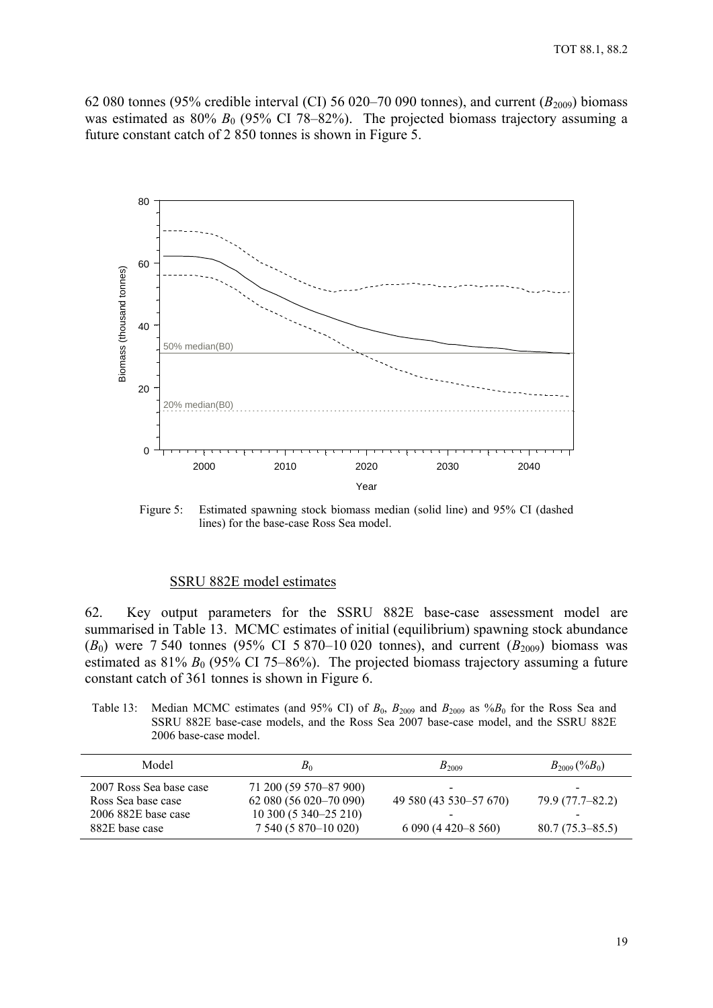<span id="page-21-0"></span>62 080 tonnes (95% credible interval (CI) 56 020–70 090 tonnes), and current  $(B_{2009})$  biomass was estimated as  $80\% B_0$  (95% CI 78–82%). The projected biomass trajectory assuming a future constant catch of 2 850 tonnes is shown in Figure 5.



Figure 5: Estimated spawning stock biomass median (solid line) and 95% CI (dashed lines) for the base-case Ross Sea model.

#### SSRU 882E model estimates

62. Key output parameters for the SSRU 882E base-case assessment model are summarised in Table 13. MCMC estimates of initial (equilibrium) spawning stock abundance  $(B_0)$  were 7 540 tonnes (95% CI 5 870–10 020 tonnes), and current  $(B_{2009})$  biomass was estimated as  $81\% B_0$  (95% CI 75–86%). The projected biomass trajectory assuming a future constant catch of 361 tonnes is shown in Figure 6.

Table 13: Median MCMC estimates (and 95% CI) of  $B_0$ ,  $B_{2009}$  and  $B_{2009}$  as  $\%B_0$  for the Ross Sea and SSRU 882E base-case models, and the Ross Sea 2007 base-case model, and the SSRU 882E 2006 base-case model.

| Model                                                                                    | $B_0$                                                                                               | $B_{2009}$                                                                                   | $B_{2009}$ (% $B_0$ )                   |
|------------------------------------------------------------------------------------------|-----------------------------------------------------------------------------------------------------|----------------------------------------------------------------------------------------------|-----------------------------------------|
| 2007 Ross Sea base case<br>Ross Sea base case<br>$2006$ 882E base case<br>882E base case | 71 200 (59 570–87 900)<br>62 080 (56 020 - 70 090)<br>10 300 (5 340–25 210)<br>7 540 (5 870-10 020) | $\qquad \qquad$<br>49 580 (43 530 - 57 670)<br>$\overline{\phantom{0}}$<br>$6090(4420-8560)$ | 79.9 (77.7–82.2)<br>$80.7(75.3 - 85.5)$ |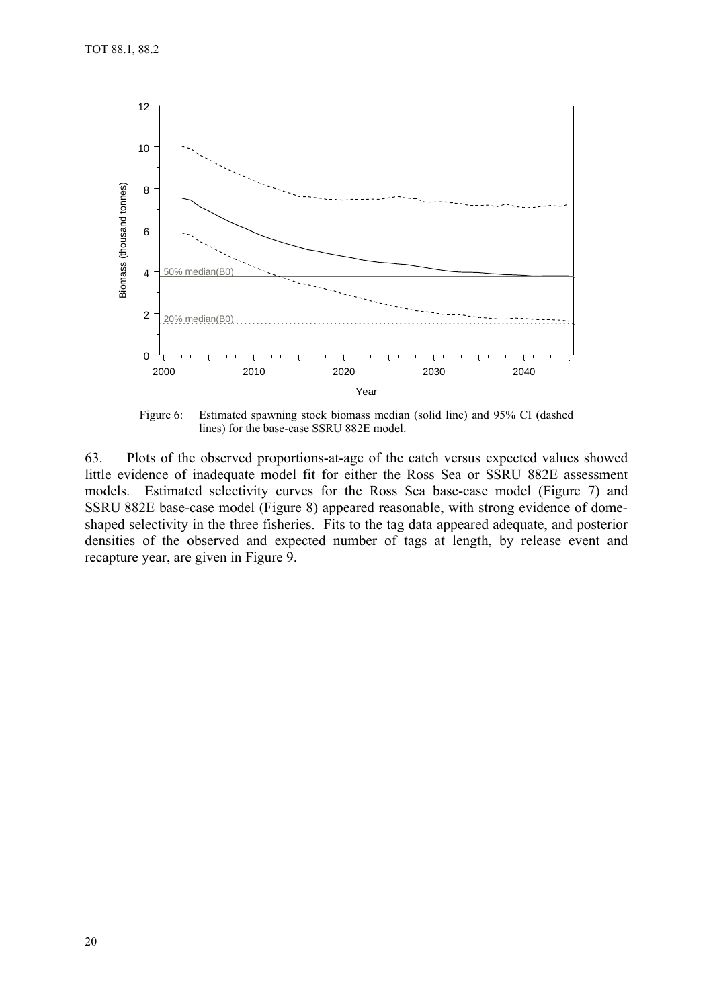

Figure 6: Estimated spawning stock biomass median (solid line) and 95% CI (dashed lines) for the base-case SSRU 882E model.

63. Plots of the observed proportions-at-age of the catch versus expected values showed little evidence of inadequate model fit for either the Ross Sea or SSRU 882E assessment models. Estimated selectivity curves for the Ross Sea base-case model (Figure 7) and SSRU 882E base-case model (Figure 8) appeared reasonable, with strong evidence of domeshaped selectivity in the three fisheries. Fits to the tag data appeared adequate, and posterior densities of the observed and expected number of tags at length, by release event and recapture year, are given in Figure 9.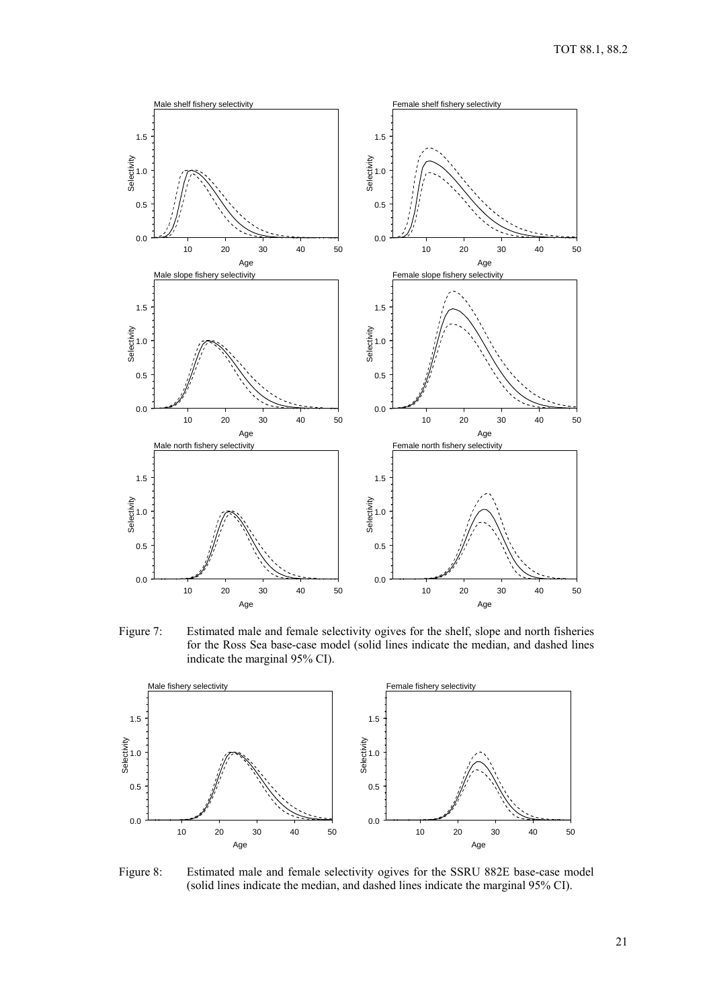

Figure 7: Estimated male and female selectivity ogives for the shelf, slope and north fisheries for the Ross Sea base-case model (solid lines indicate the median, and dashed lines indicate the marginal 95% CI).



Figure 8: Estimated male and female selectivity ogives for the SSRU 882E base-case model (solid lines indicate the median, and dashed lines indicate the marginal 95% CI).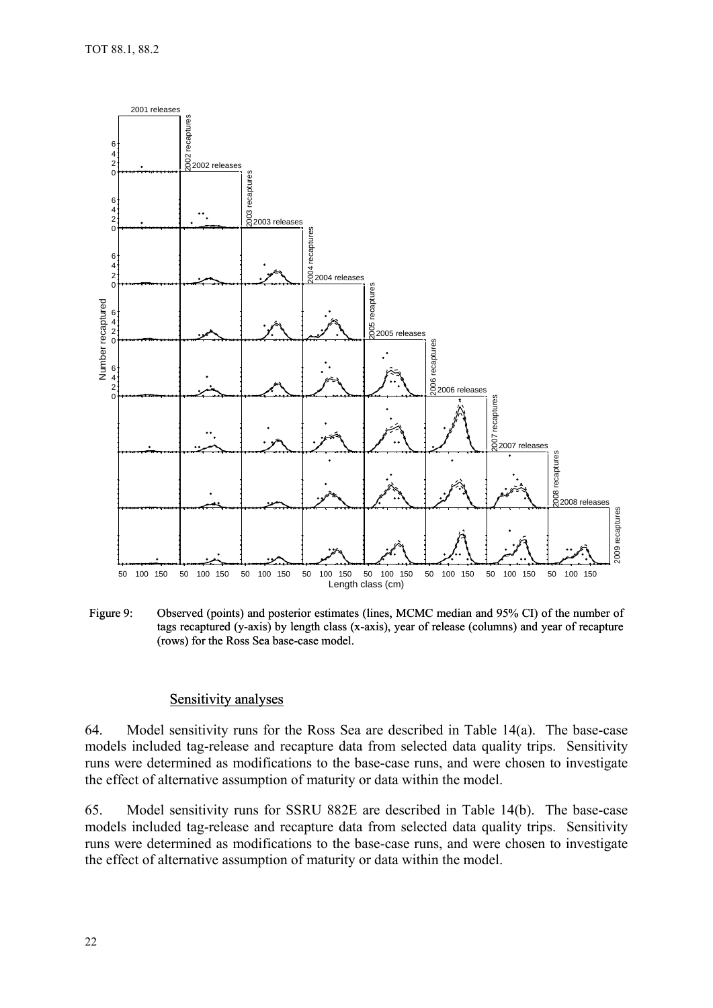<span id="page-24-0"></span>

Figure 9: Observed (points) and posterior estimates (lines, MCMC median and 95% CI) of the number of tags recaptured (y-axis) by length class (x-axis), year of release (columns) and year of recapture (rows) for the Ross Sea base-case model.

#### Sensitivity analyses

64. Model sensitivity runs for the Ross Sea are described in Table 14(a). The base-case models included tag-release and recapture data from selected data quality trips. Sensitivity runs were determined as modifications to the base-case runs, and were chosen to investigate the effect of alternative assumption of maturity or data within the model.

65. Model sensitivity runs for SSRU 882E are described in Table 14(b). The base-case models included tag-release and recapture data from selected data quality trips. Sensitivity runs were determined as modifications to the base-case runs, and were chosen to investigate the effect of alternative assumption of maturity or data within the model.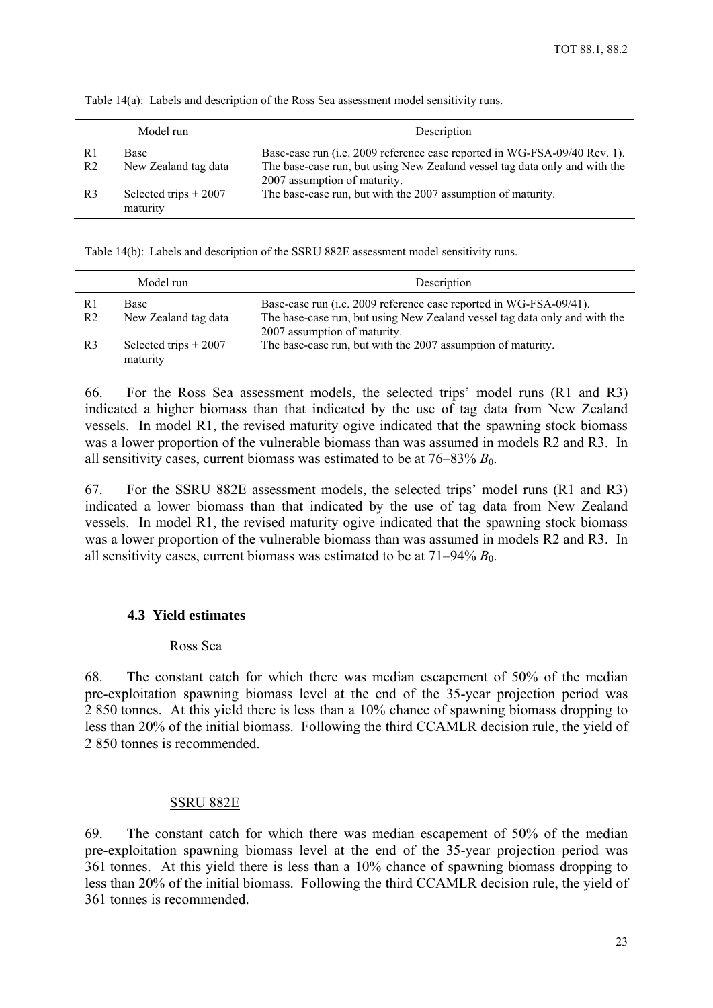|                | Model run              | Description                                                                |
|----------------|------------------------|----------------------------------------------------------------------------|
| R1             | Base                   | Base-case run (i.e. 2009 reference case reported in WG-FSA-09/40 Rev. 1).  |
| R <sub>2</sub> | New Zealand tag data   | The base-case run, but using New Zealand vessel tag data only and with the |
|                |                        | 2007 assumption of maturity.                                               |
| R <sub>3</sub> | Selected trips $+2007$ | The base-case run, but with the 2007 assumption of maturity.               |
|                | maturity               |                                                                            |

<span id="page-25-0"></span>Table 14(a): Labels and description of the Ross Sea assessment model sensitivity runs.

Table 14(b): Labels and description of the SSRU 882E assessment model sensitivity runs.

|                      | Model run                          | Description                                                                                                                                                                      |
|----------------------|------------------------------------|----------------------------------------------------------------------------------------------------------------------------------------------------------------------------------|
| R1<br>R <sub>2</sub> | Base<br>New Zealand tag data       | Base-case run (i.e. 2009 reference case reported in WG-FSA-09/41).<br>The base-case run, but using New Zealand vessel tag data only and with the<br>2007 assumption of maturity. |
| R <sub>3</sub>       | Selected trips $+2007$<br>maturity | The base-case run, but with the 2007 assumption of maturity.                                                                                                                     |

66. For the Ross Sea assessment models, the selected trips' model runs (R1 and R3) indicated a higher biomass than that indicated by the use of tag data from New Zealand vessels. In model R1, the revised maturity ogive indicated that the spawning stock biomass was a lower proportion of the vulnerable biomass than was assumed in models R2 and R3. In all sensitivity cases, current biomass was estimated to be at  $76-83\% B_0$ .

67. For the SSRU 882E assessment models, the selected trips' model runs (R1 and R3) indicated a lower biomass than that indicated by the use of tag data from New Zealand vessels. In model R1, the revised maturity ogive indicated that the spawning stock biomass was a lower proportion of the vulnerable biomass than was assumed in models R2 and R3. In all sensitivity cases, current biomass was estimated to be at  $71-94\% B_0$ .

## **4.3 Yield estimates**

#### Ross Sea

68. The constant catch for which there was median escapement of 50% of the median pre-exploitation spawning biomass level at the end of the 35-year projection period was 2 850 tonnes. At this yield there is less than a 10% chance of spawning biomass dropping to less than 20% of the initial biomass. Following the third CCAMLR decision rule, the yield of 2 850 tonnes is recommended.

#### SSRU 882E

69. The constant catch for which there was median escapement of 50% of the median pre-exploitation spawning biomass level at the end of the 35-year projection period was 361 tonnes. At this yield there is less than a 10% chance of spawning biomass dropping to less than 20% of the initial biomass. Following the third CCAMLR decision rule, the yield of 361 tonnes is recommended.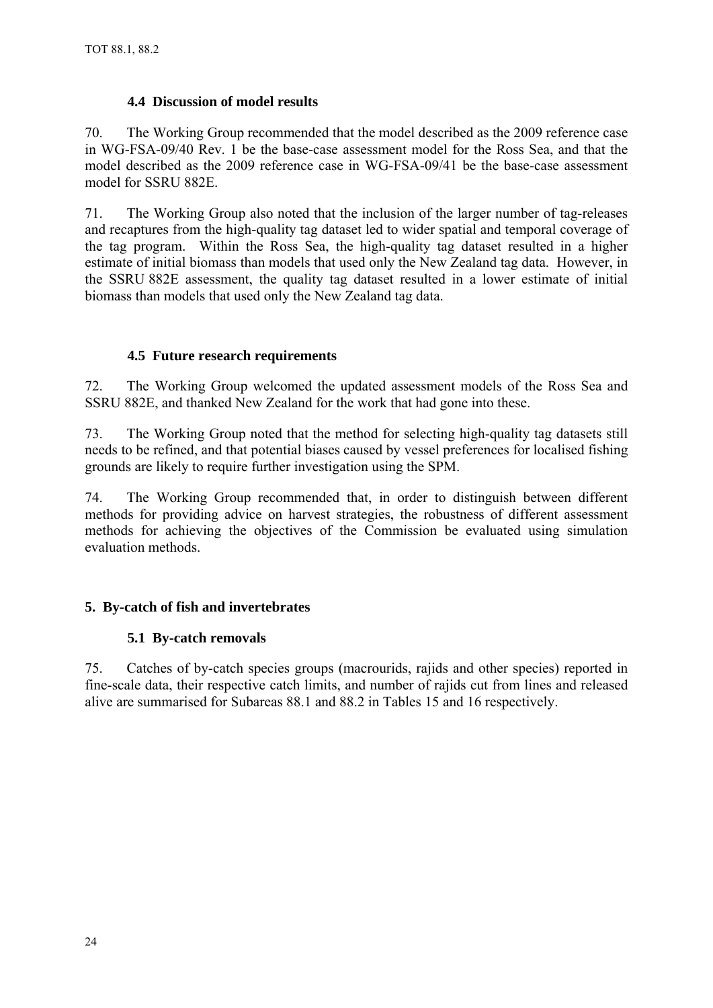# **4.4 Discussion of model results**

<span id="page-26-0"></span>70. The Working Group recommended that the model described as the 2009 reference case in WG-FSA-09/40 Rev. 1 be the base-case assessment model for the Ross Sea, and that the model described as the 2009 reference case in WG-FSA-09/41 be the base-case assessment model for SSRU 882E.

71. The Working Group also noted that the inclusion of the larger number of tag-releases and recaptures from the high-quality tag dataset led to wider spatial and temporal coverage of the tag program. Within the Ross Sea, the high-quality tag dataset resulted in a higher estimate of initial biomass than models that used only the New Zealand tag data. However, in the SSRU 882E assessment, the quality tag dataset resulted in a lower estimate of initial biomass than models that used only the New Zealand tag data.

# **4.5 Future research requirements**

72. The Working Group welcomed the updated assessment models of the Ross Sea and SSRU 882E, and thanked New Zealand for the work that had gone into these.

73. The Working Group noted that the method for selecting high-quality tag datasets still needs to be refined, and that potential biases caused by vessel preferences for localised fishing grounds are likely to require further investigation using the SPM.

74. The Working Group recommended that, in order to distinguish between different methods for providing advice on harvest strategies, the robustness of different assessment methods for achieving the objectives of the Commission be evaluated using simulation evaluation methods.

# **5. By-catch of fish and invertebrates**

# **5.1 By-catch removals**

75. Catches of by-catch species groups (macrourids, rajids and other species) reported in fine-scale data, their respective catch limits, and number of rajids cut from lines and released alive are summarised for Subareas 88.1 and 88.2 in Tables 15 and 16 respectively.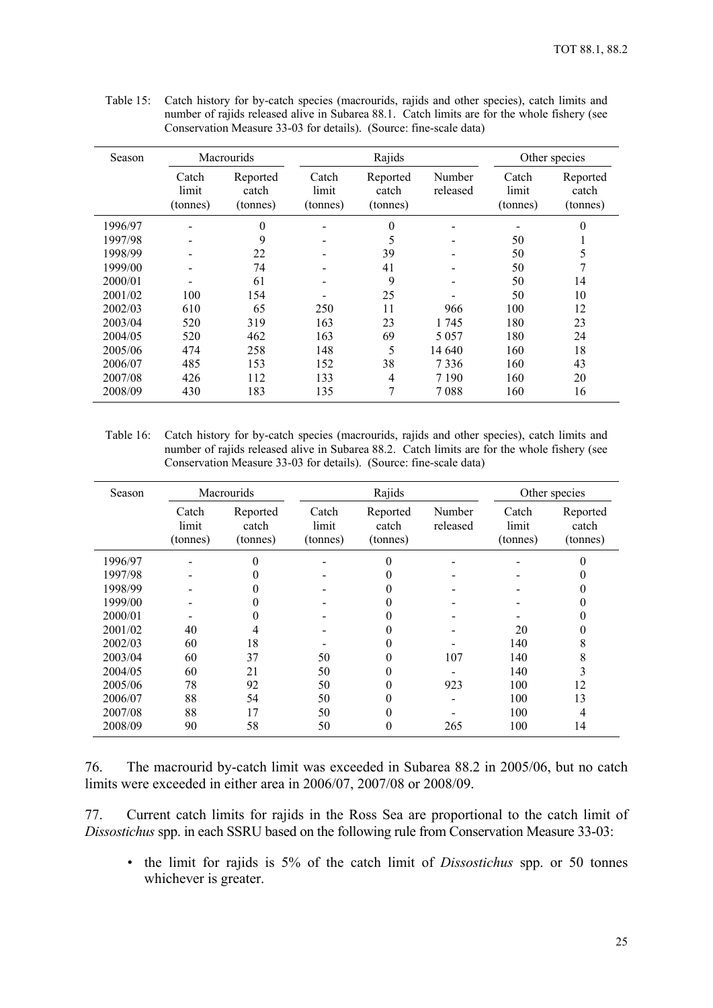| Season  |                            | Macrourids                    |                            | Rajids                        |                    |                            | Other species                 |
|---------|----------------------------|-------------------------------|----------------------------|-------------------------------|--------------------|----------------------------|-------------------------------|
|         | Catch<br>limit<br>(tonnes) | Reported<br>catch<br>(tonnes) | Catch<br>limit<br>(tonnes) | Reported<br>catch<br>(tonnes) | Number<br>released | Catch<br>limit<br>(tonnes) | Reported<br>catch<br>(tonnes) |
| 1996/97 |                            | $\theta$                      |                            | $\overline{0}$                |                    |                            | $\theta$                      |
| 1997/98 |                            | 9                             |                            | 5                             |                    | 50                         |                               |
| 1998/99 |                            | 22                            |                            | 39                            |                    | 50                         | 5                             |
| 1999/00 |                            | 74                            |                            | 41                            |                    | 50                         | 7                             |
| 2000/01 |                            | 61                            |                            | 9                             |                    | 50                         | 14                            |
| 2001/02 | 100                        | 154                           |                            | 25                            |                    | 50                         | 10                            |
| 2002/03 | 610                        | 65                            | 250                        | 11                            | 966                | 100                        | 12                            |
| 2003/04 | 520                        | 319                           | 163                        | 23                            | 1 745              | 180                        | 23                            |
| 2004/05 | 520                        | 462                           | 163                        | 69                            | 5 0 5 7            | 180                        | 24                            |
| 2005/06 | 474                        | 258                           | 148                        | 5                             | 14 640             | 160                        | 18                            |
| 2006/07 | 485                        | 153                           | 152                        | 38                            | 7336               | 160                        | 43                            |
| 2007/08 | 426                        | 112                           | 133                        | 4                             | 7 1 9 0            | 160                        | 20                            |
| 2008/09 | 430                        | 183                           | 135                        | 7                             | 7088               | 160                        | 16                            |

Table 15: Catch history for by-catch species (macrourids, rajids and other species), catch limits and number of rajids released alive in Subarea 88.1. Catch limits are for the whole fishery (see Conservation Measure 33-03 for details). (Source: fine-scale data)

Table 16: Catch history for by-catch species (macrourids, rajids and other species), catch limits and number of rajids released alive in Subarea 88.2. Catch limits are for the whole fishery (see Conservation Measure 33-03 for details). (Source: fine-scale data)

| Season  |                            | <b>Macrourids</b>             |                            |                               |                    |                            | Other species                 |  |
|---------|----------------------------|-------------------------------|----------------------------|-------------------------------|--------------------|----------------------------|-------------------------------|--|
|         | Catch<br>limit<br>(tonnes) | Reported<br>catch<br>(tonnes) | Catch<br>limit<br>(tonnes) | Reported<br>catch<br>(tonnes) | Number<br>released | Catch<br>limit<br>(tonnes) | Reported<br>catch<br>(tonnes) |  |
| 1996/97 |                            | 0                             |                            | 0                             |                    |                            | 0                             |  |
| 1997/98 |                            | 0                             |                            | 0                             |                    |                            |                               |  |
| 1998/99 |                            | 0                             |                            | 0                             |                    |                            |                               |  |
| 1999/00 |                            | 0                             |                            | 0                             |                    |                            |                               |  |
| 2000/01 |                            | 0                             |                            | 0                             |                    |                            |                               |  |
| 2001/02 | 40                         | 4                             |                            | 0                             |                    | 20                         | 0                             |  |
| 2002/03 | 60                         | 18                            |                            | 0                             |                    | 140                        | 8                             |  |
| 2003/04 | 60                         | 37                            | 50                         | 0                             | 107                | 140                        | 8                             |  |
| 2004/05 | 60                         | 21                            | 50                         | 0                             |                    | 140                        | 3                             |  |
| 2005/06 | 78                         | 92                            | 50                         | 0                             | 923                | 100                        | 12                            |  |
| 2006/07 | 88                         | 54                            | 50                         | 0                             |                    | 100                        | 13                            |  |
| 2007/08 | 88                         | 17                            | 50                         | 0                             |                    | 100                        | 4                             |  |
| 2008/09 | 90                         | 58                            | 50                         | 0                             | 265                | 100                        | 14                            |  |

| 76. | The macrourid by-catch limit was exceeded in Subarea 88.2 in 2005/06, but no catch |  |  |  |
|-----|------------------------------------------------------------------------------------|--|--|--|
|     | limits were exceeded in either area in 2006/07, 2007/08 or 2008/09.                |  |  |  |

77. Current catch limits for rajids in the Ross Sea are proportional to the catch limit of *Dissostichus* spp. in each SSRU based on the following rule from Conservation Measure 33-03:

• the limit for rajids is 5% of the catch limit of *Dissostichus* spp. or 50 tonnes whichever is greater.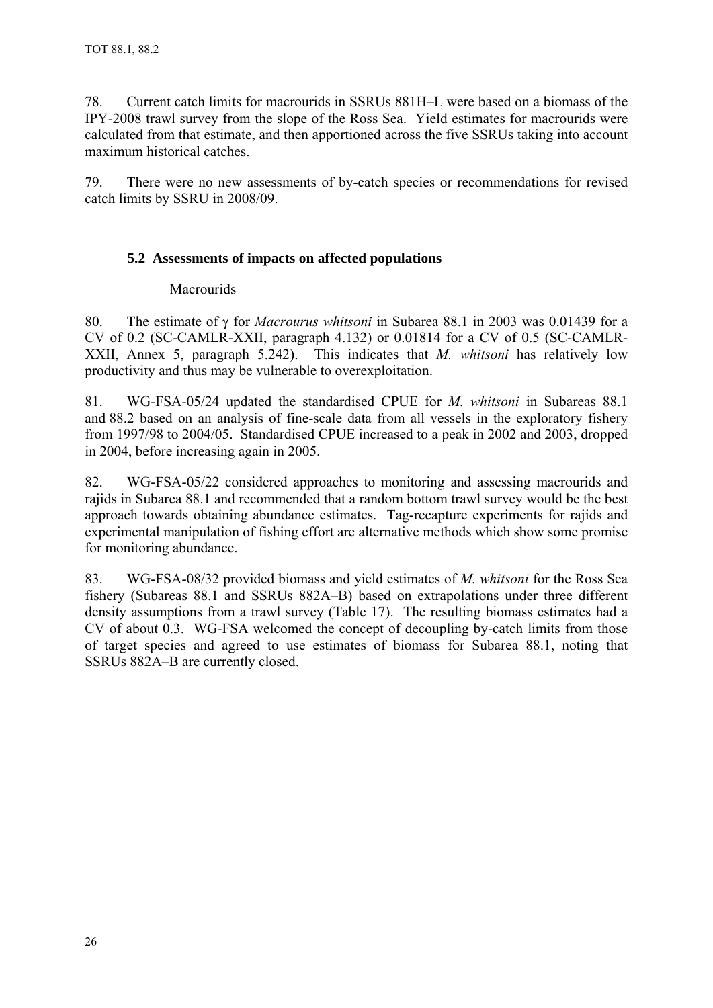<span id="page-28-0"></span>78. Current catch limits for macrourids in SSRUs 881H–L were based on a biomass of the IPY-2008 trawl survey from the slope of the Ross Sea. Yield estimates for macrourids were calculated from that estimate, and then apportioned across the five SSRUs taking into account maximum historical catches.

79. There were no new assessments of by-catch species or recommendations for revised catch limits by SSRU in 2008/09.

# **5.2 Assessments of impacts on affected populations**

## Macrourids

80. The estimate of  $\gamma$  for *Macrourus whitsoni* in Subarea 88.1 in 2003 was 0.01439 for a CV of 0.2 (SC-CAMLR-XXII, paragraph 4.132) or 0.01814 for a CV of 0.5 (SC-CAMLR-XXII, Annex 5, paragraph 5.242). This indicates that *M. whitsoni* has relatively low productivity and thus may be vulnerable to overexploitation.

81. WG-FSA-05/24 updated the standardised CPUE for *M. whitsoni* in Subareas 88.1 and 88.2 based on an analysis of fine-scale data from all vessels in the exploratory fishery from 1997/98 to 2004/05. Standardised CPUE increased to a peak in 2002 and 2003, dropped in 2004, before increasing again in 2005.

82. WG-FSA-05/22 considered approaches to monitoring and assessing macrourids and rajids in Subarea 88.1 and recommended that a random bottom trawl survey would be the best approach towards obtaining abundance estimates. Tag-recapture experiments for rajids and experimental manipulation of fishing effort are alternative methods which show some promise for monitoring abundance.

83. WG-FSA-08/32 provided biomass and yield estimates of *M. whitsoni* for the Ross Sea fishery (Subareas 88.1 and SSRUs 882A–B) based on extrapolations under three different density assumptions from a trawl survey (Table 17). The resulting biomass estimates had a CV of about 0.3. WG-FSA welcomed the concept of decoupling by-catch limits from those of target species and agreed to use estimates of biomass for Subarea 88.1, noting that SSRUs 882A–B are currently closed.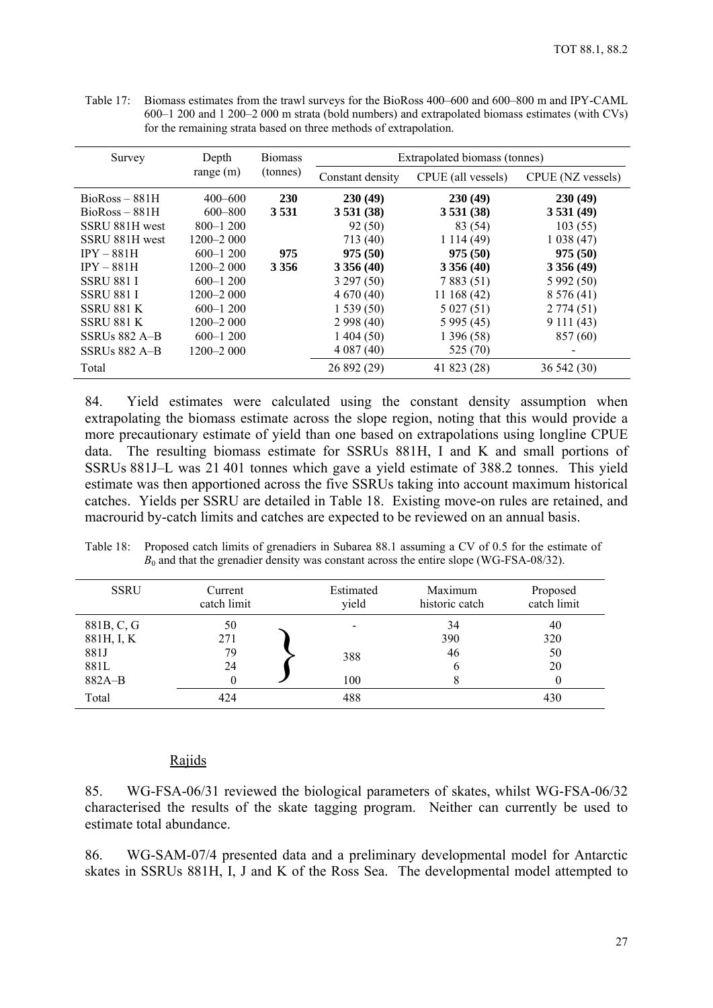<span id="page-29-0"></span>Table 17: Biomass estimates from the trawl surveys for the BioRoss 400–600 and 600–800 m and IPY-CAML 600–1 200 and 1 200–2 000 m strata (bold numbers) and extrapolated biomass estimates (with CVs) for the remaining strata based on three methods of extrapolation.

| Survey            | Depth         | <b>Biomass</b><br>(tonnes) | Extrapolated biomass (tonnes) |                    |                   |
|-------------------|---------------|----------------------------|-------------------------------|--------------------|-------------------|
|                   | range $(m)$   |                            | Constant density              | CPUE (all vessels) | CPUE (NZ vessels) |
| $BioRoss - 881H$  | $400 - 600$   | <b>230</b>                 | 230(49)                       | 230(49)            | 230(49)           |
| $BioRoss - 881H$  | $600 - 800$   | 3531                       | 3531(38)                      | 3531(38)           | 3531(49)          |
| SSRU 881H west    | $800 - 1200$  |                            | 92 (50)                       | 83 (54)            | 103(55)           |
| SSRU 881H west    | $1200 - 2000$ |                            | 713 (40)                      | 1114(49)           | 1038(47)          |
| $IPY - 881H$      | $600 - 1200$  | 975                        | 975(50)                       | 975(50)            | 975(50)           |
| $IPY - 881H$      | 1200–2 000    | 3 3 5 6                    | 3356(40)                      | 3356(40)           | 3356(49)          |
| <b>SSRU 881 I</b> | $600 - 1200$  |                            | 3297(50)                      | 7883(51)           | 5 992 (50)        |
| <b>SSRU 881 I</b> | 1200–2 000    |                            | 4670(40)                      | 11168(42)          | 8 5 7 6 (41)      |
| <b>SSRU 881 K</b> | $600 - 1200$  |                            | 1539(50)                      | 5027(51)           | 2774(51)          |
| <b>SSRU 881 K</b> | $1200 - 2000$ |                            | 2998(40)                      | 5995(45)           | 9111(43)          |
| SSRUs $882$ A-B   | $600 - 1200$  |                            | 1404(50)                      | 1 396 (58)         | 857 (60)          |
| SSRUs 882 A-B     | 1200–2 000    |                            | 4 0 8 7 (40)                  | 525 (70)           |                   |
| Total             |               |                            | 26 892 (29)                   | 41 823 (28)        | 36 542 (30)       |

84. Yield estimates were calculated using the constant density assumption when extrapolating the biomass estimate across the slope region, noting that this would provide a more precautionary estimate of yield than one based on extrapolations using longline CPUE data. The resulting biomass estimate for SSRUs 881H, I and K and small portions of SSRUs 881J–L was 21 401 tonnes which gave a yield estimate of 388.2 tonnes. This yield estimate was then apportioned across the five SSRUs taking into account maximum historical catches. Yields per SSRU are detailed in Table 18. Existing move-on rules are retained, and macrourid by-catch limits and catches are expected to be reviewed on an annual basis.

| Table 18: Proposed catch limits of grenadiers in Subarea 88.1 assuming a CV of 0.5 for the estimate of |
|--------------------------------------------------------------------------------------------------------|
| $B_0$ and that the grenadier density was constant across the entire slope (WG-FSA-08/32).              |

| <b>SSRU</b> | Current<br>catch limit | Estimated<br>yield | Maximum<br>historic catch | Proposed<br>catch limit |
|-------------|------------------------|--------------------|---------------------------|-------------------------|
| 881B, C, G  | 50                     |                    | 34                        | 40                      |
| 881H, I, K  | 271                    |                    | 390                       | 320                     |
| 881J        | 79                     | 388                | 46                        | 50                      |
| 881L        | 24                     |                    | b                         | 20                      |
| $882A-B$    | $_{0}$                 | 100                | 8                         | 0                       |
| Total       | 424                    | 488                |                           | 430                     |

#### Rajids

85. WG-FSA-06/31 reviewed the biological parameters of skates, whilst WG-FSA-06/32 characterised the results of the skate tagging program. Neither can currently be used to estimate total abundance.

86. WG-SAM-07/4 presented data and a preliminary developmental model for Antarctic skates in SSRUs 881H, I, J and K of the Ross Sea. The developmental model attempted to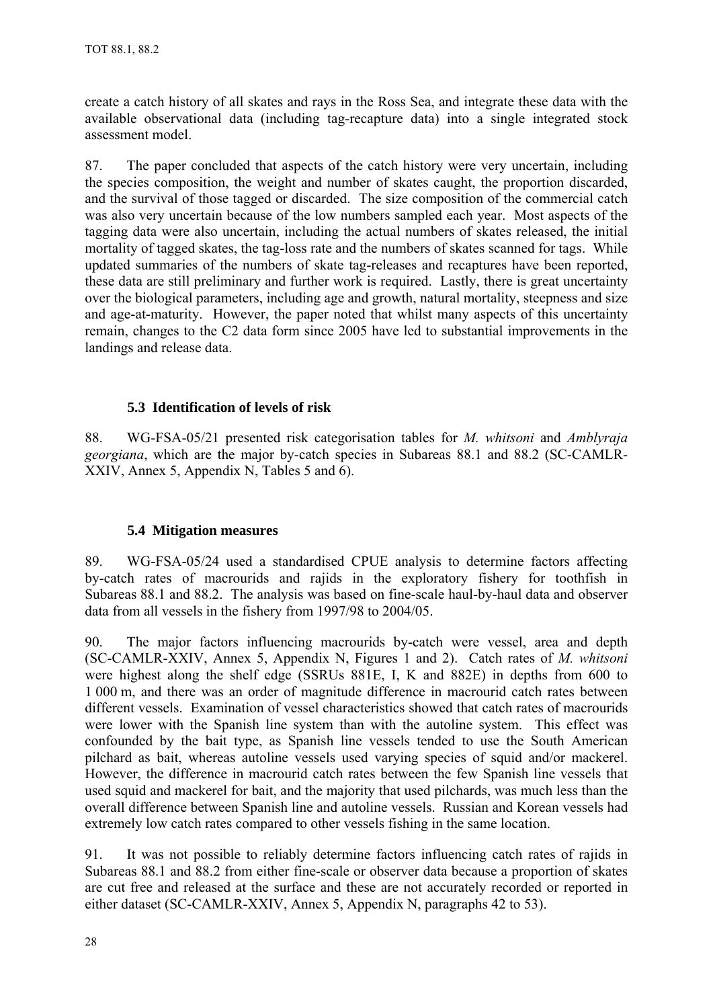<span id="page-30-0"></span>create a catch history of all skates and rays in the Ross Sea, and integrate these data with the available observational data (including tag-recapture data) into a single integrated stock assessment model.

87. The paper concluded that aspects of the catch history were very uncertain, including the species composition, the weight and number of skates caught, the proportion discarded, and the survival of those tagged or discarded. The size composition of the commercial catch was also very uncertain because of the low numbers sampled each year. Most aspects of the tagging data were also uncertain, including the actual numbers of skates released, the initial mortality of tagged skates, the tag-loss rate and the numbers of skates scanned for tags. While updated summaries of the numbers of skate tag-releases and recaptures have been reported, these data are still preliminary and further work is required. Lastly, there is great uncertainty over the biological parameters, including age and growth, natural mortality, steepness and size and age-at-maturity. However, the paper noted that whilst many aspects of this uncertainty remain, changes to the C2 data form since 2005 have led to substantial improvements in the landings and release data.

# **5.3 Identification of levels of risk**

88. WG-FSA-05/21 presented risk categorisation tables for *M. whitsoni* and *Amblyraja georgiana*, which are the major by-catch species in Subareas 88.1 and 88.2 (SC-CAMLR-XXIV, Annex 5, Appendix N, Tables 5 and 6).

## **5.4 Mitigation measures**

89. WG-FSA-05/24 used a standardised CPUE analysis to determine factors affecting by-catch rates of macrourids and rajids in the exploratory fishery for toothfish in Subareas 88.1 and 88.2. The analysis was based on fine-scale haul-by-haul data and observer data from all vessels in the fishery from 1997/98 to 2004/05.

90. The major factors influencing macrourids by-catch were vessel, area and depth (SC-CAMLR-XXIV, Annex 5, Appendix N, Figures 1 and 2). Catch rates of *M. whitsoni* were highest along the shelf edge (SSRUs 881E, I, K and 882E) in depths from 600 to 1 000 m, and there was an order of magnitude difference in macrourid catch rates between different vessels. Examination of vessel characteristics showed that catch rates of macrourids were lower with the Spanish line system than with the autoline system. This effect was confounded by the bait type, as Spanish line vessels tended to use the South American pilchard as bait, whereas autoline vessels used varying species of squid and/or mackerel. However, the difference in macrourid catch rates between the few Spanish line vessels that used squid and mackerel for bait, and the majority that used pilchards, was much less than the overall difference between Spanish line and autoline vessels. Russian and Korean vessels had extremely low catch rates compared to other vessels fishing in the same location.

91. It was not possible to reliably determine factors influencing catch rates of rajids in Subareas 88.1 and 88.2 from either fine-scale or observer data because a proportion of skates are cut free and released at the surface and these are not accurately recorded or reported in either dataset (SC-CAMLR-XXIV, Annex 5, Appendix N, paragraphs 42 to 53).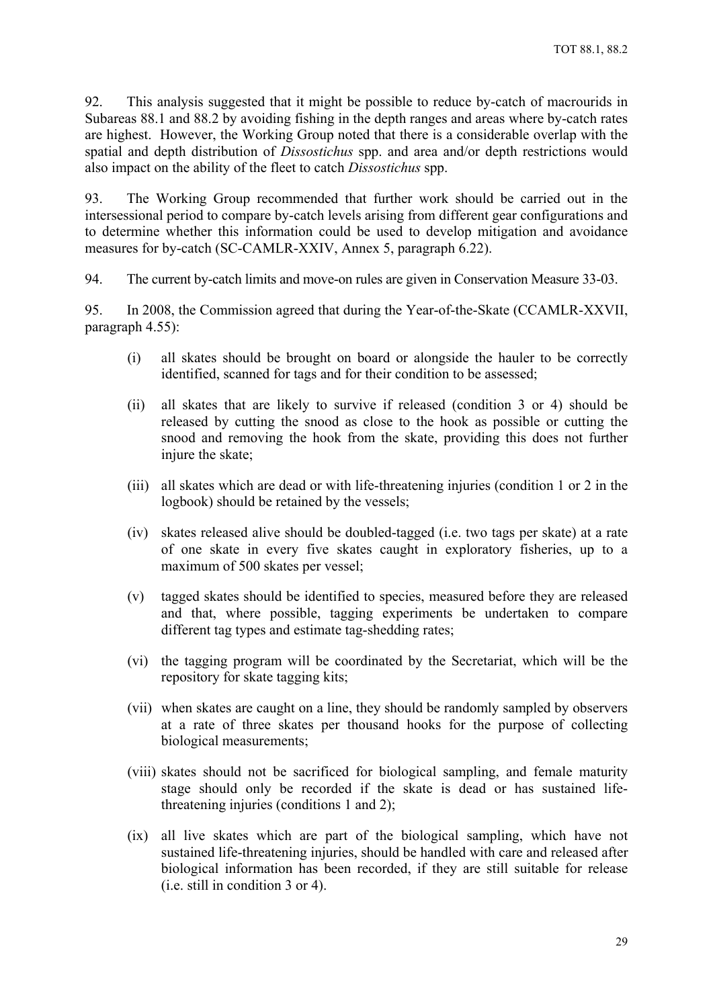92. This analysis suggested that it might be possible to reduce by-catch of macrourids in Subareas 88.1 and 88.2 by avoiding fishing in the depth ranges and areas where by-catch rates are highest. However, the Working Group noted that there is a considerable overlap with the spatial and depth distribution of *Dissostichus* spp. and area and/or depth restrictions would also impact on the ability of the fleet to catch *Dissostichus* spp.

93. The Working Group recommended that further work should be carried out in the intersessional period to compare by-catch levels arising from different gear configurations and to determine whether this information could be used to develop mitigation and avoidance measures for by-catch (SC-CAMLR-XXIV, Annex 5, paragraph 6.22).

94. The current by-catch limits and move-on rules are given in Conservation Measure 33-03.

95. In 2008, the Commission agreed that during the Year-of-the-Skate (CCAMLR-XXVII, paragraph 4.55):

- (i) all skates should be brought on board or alongside the hauler to be correctly identified, scanned for tags and for their condition to be assessed;
- (ii) all skates that are likely to survive if released (condition 3 or 4) should be released by cutting the snood as close to the hook as possible or cutting the snood and removing the hook from the skate, providing this does not further injure the skate;
- (iii) all skates which are dead or with life-threatening injuries (condition 1 or 2 in the logbook) should be retained by the vessels;
- (iv) skates released alive should be doubled-tagged (i.e. two tags per skate) at a rate of one skate in every five skates caught in exploratory fisheries, up to a maximum of 500 skates per vessel;
- (v) tagged skates should be identified to species, measured before they are released and that, where possible, tagging experiments be undertaken to compare different tag types and estimate tag-shedding rates;
- (vi) the tagging program will be coordinated by the Secretariat, which will be the repository for skate tagging kits;
- (vii) when skates are caught on a line, they should be randomly sampled by observers at a rate of three skates per thousand hooks for the purpose of collecting biological measurements;
- (viii) skates should not be sacrificed for biological sampling, and female maturity stage should only be recorded if the skate is dead or has sustained lifethreatening injuries (conditions 1 and 2);
- (ix) all live skates which are part of the biological sampling, which have not sustained life-threatening injuries, should be handled with care and released after biological information has been recorded, if they are still suitable for release (i.e. still in condition 3 or 4).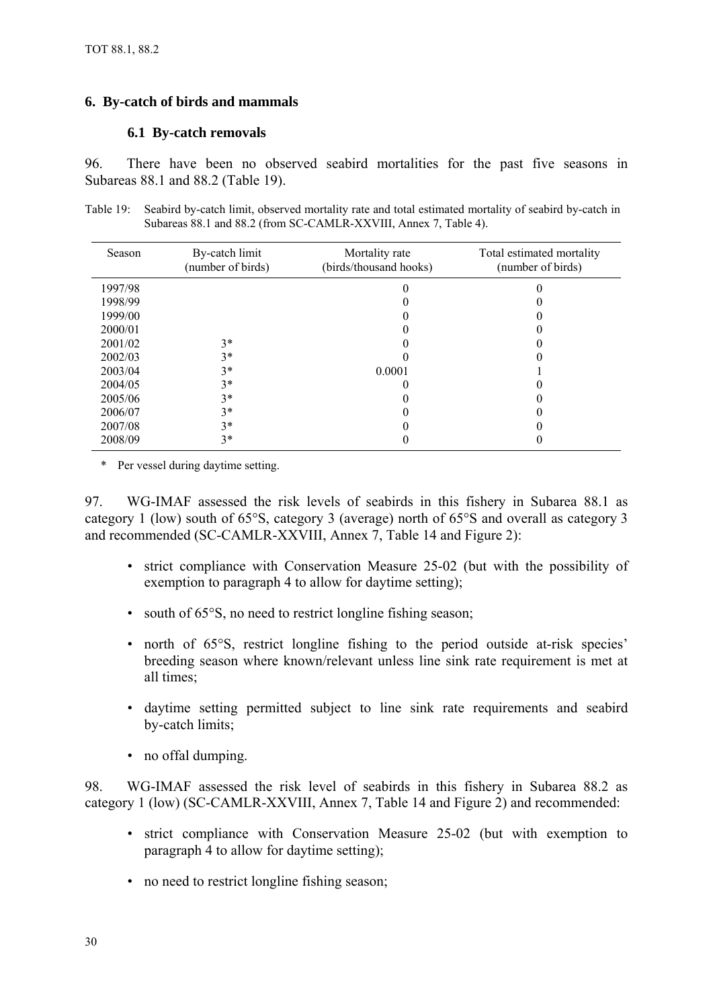## <span id="page-32-0"></span>**6. By-catch of birds and mammals**

## **6.1 By-catch removals**

96. There have been no observed seabird mortalities for the past five seasons in Subareas 88.1 and 88.2 (Table 19).

Table 19: Seabird by-catch limit, observed mortality rate and total estimated mortality of seabird by-catch in Subareas 88.1 and 88.2 (from SC-CAMLR-XXVIII, Annex 7, Table 4).

| Season  | By-catch limit<br>(number of birds) | Mortality rate<br>(birds/thousand hooks) | Total estimated mortality<br>(number of birds) |
|---------|-------------------------------------|------------------------------------------|------------------------------------------------|
| 1997/98 |                                     |                                          |                                                |
| 1998/99 |                                     |                                          |                                                |
| 1999/00 |                                     |                                          |                                                |
| 2000/01 |                                     |                                          |                                                |
| 2001/02 | $3*$                                |                                          |                                                |
| 2002/03 | $3*$                                |                                          |                                                |
| 2003/04 | $3*$                                | 0.0001                                   |                                                |
| 2004/05 | $3*$                                |                                          |                                                |
| 2005/06 | $3*$                                |                                          |                                                |
| 2006/07 | $3*$                                |                                          |                                                |
| 2007/08 | $3*$                                |                                          |                                                |
| 2008/09 | $3*$                                |                                          |                                                |

\* Per vessel during daytime setting.

97. WG-IMAF assessed the risk levels of seabirds in this fishery in Subarea 88.1 as category 1 (low) south of 65°S, category 3 (average) north of 65°S and overall as category 3 and recommended (SC-CAMLR-XXVIII, Annex 7, Table 14 and Figure 2):

- strict compliance with Conservation Measure 25-02 (but with the possibility of exemption to paragraph 4 to allow for daytime setting);
- south of 65°S, no need to restrict longline fishing season;
- north of 65°S, restrict longline fishing to the period outside at-risk species' breeding season where known/relevant unless line sink rate requirement is met at all times;
- daytime setting permitted subject to line sink rate requirements and seabird by-catch limits;
- no offal dumping.

98. WG-IMAF assessed the risk level of seabirds in this fishery in Subarea 88.2 as category 1 (low) (SC-CAMLR-XXVIII, Annex 7, Table 14 and Figure 2) and recommended:

- strict compliance with Conservation Measure 25-02 (but with exemption to paragraph 4 to allow for daytime setting);
- no need to restrict longline fishing season;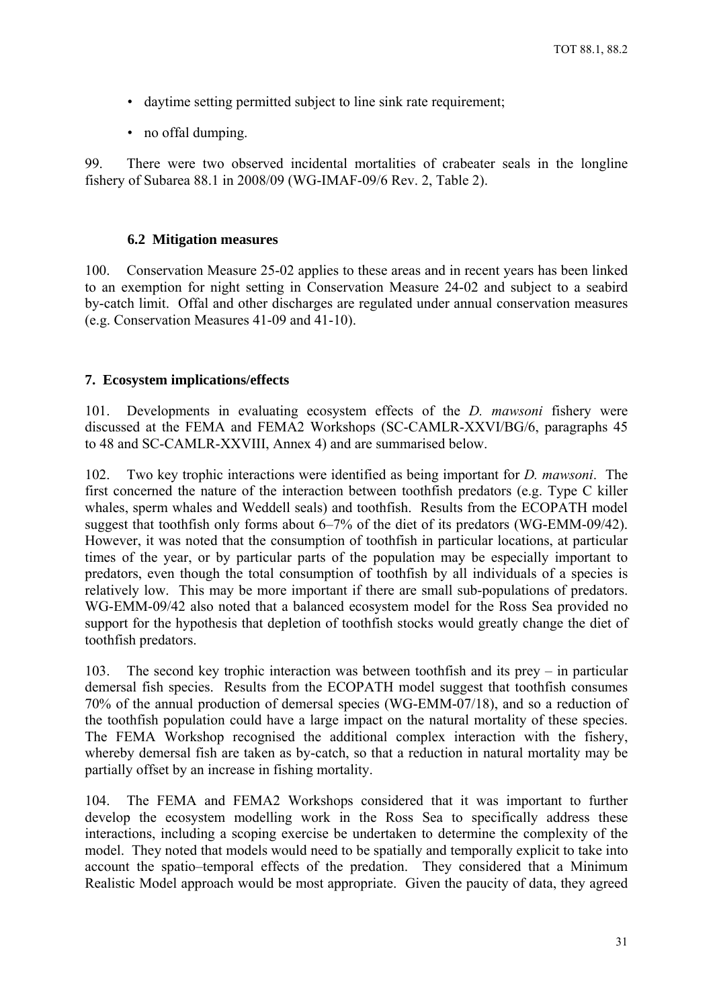- <span id="page-33-0"></span>• daytime setting permitted subject to line sink rate requirement;
- no offal dumping.

99. There were two observed incidental mortalities of crabeater seals in the longline fishery of Subarea 88.1 in 2008/09 (WG-IMAF-09/6 Rev. 2, Table 2).

#### **6.2 Mitigation measures**

100. Conservation Measure 25-02 applies to these areas and in recent years has been linked to an exemption for night setting in Conservation Measure 24-02 and subject to a seabird by-catch limit. Offal and other discharges are regulated under annual conservation measures (e.g. Conservation Measures 41-09 and 41-10).

## **7. Ecosystem implications/effects**

101. Developments in evaluating ecosystem effects of the *D. mawsoni* fishery were discussed at the FEMA and FEMA2 Workshops (SC-CAMLR-XXVI/BG/6, paragraphs 45 to 48 and SC-CAMLR-XXVIII, Annex 4) and are summarised below.

102. Two key trophic interactions were identified as being important for *D. mawsoni*. The first concerned the nature of the interaction between toothfish predators (e.g. Type C killer whales, sperm whales and Weddell seals) and toothfish. Results from the ECOPATH model suggest that toothfish only forms about 6–7% of the diet of its predators (WG-EMM-09/42). However, it was noted that the consumption of toothfish in particular locations, at particular times of the year, or by particular parts of the population may be especially important to predators, even though the total consumption of toothfish by all individuals of a species is relatively low. This may be more important if there are small sub-populations of predators. WG-EMM-09/42 also noted that a balanced ecosystem model for the Ross Sea provided no support for the hypothesis that depletion of toothfish stocks would greatly change the diet of toothfish predators.

103. The second key trophic interaction was between toothfish and its prey – in particular demersal fish species. Results from the ECOPATH model suggest that toothfish consumes 70% of the annual production of demersal species (WG-EMM-07/18), and so a reduction of the toothfish population could have a large impact on the natural mortality of these species. The FEMA Workshop recognised the additional complex interaction with the fishery, whereby demersal fish are taken as by-catch, so that a reduction in natural mortality may be partially offset by an increase in fishing mortality.

104. The FEMA and FEMA2 Workshops considered that it was important to further develop the ecosystem modelling work in the Ross Sea to specifically address these interactions, including a scoping exercise be undertaken to determine the complexity of the model. They noted that models would need to be spatially and temporally explicit to take into account the spatio–temporal effects of the predation. They considered that a Minimum Realistic Model approach would be most appropriate. Given the paucity of data, they agreed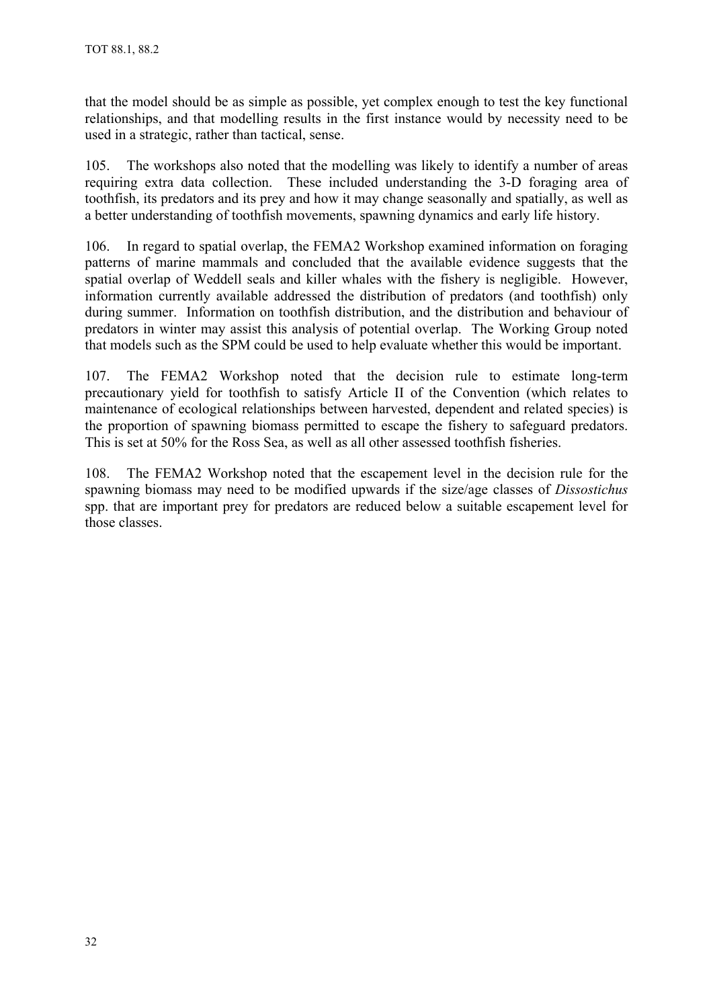that the model should be as simple as possible, yet complex enough to test the key functional relationships, and that modelling results in the first instance would by necessity need to be used in a strategic, rather than tactical, sense.

105. The workshops also noted that the modelling was likely to identify a number of areas requiring extra data collection. These included understanding the 3-D foraging area of toothfish, its predators and its prey and how it may change seasonally and spatially, as well as a better understanding of toothfish movements, spawning dynamics and early life history.

106. In regard to spatial overlap, the FEMA2 Workshop examined information on foraging patterns of marine mammals and concluded that the available evidence suggests that the spatial overlap of Weddell seals and killer whales with the fishery is negligible. However, information currently available addressed the distribution of predators (and toothfish) only during summer. Information on toothfish distribution, and the distribution and behaviour of predators in winter may assist this analysis of potential overlap. The Working Group noted that models such as the SPM could be used to help evaluate whether this would be important.

107. The FEMA2 Workshop noted that the decision rule to estimate long-term precautionary yield for toothfish to satisfy Article II of the Convention (which relates to maintenance of ecological relationships between harvested, dependent and related species) is the proportion of spawning biomass permitted to escape the fishery to safeguard predators. This is set at 50% for the Ross Sea, as well as all other assessed toothfish fisheries.

108. The FEMA2 Workshop noted that the escapement level in the decision rule for the spawning biomass may need to be modified upwards if the size/age classes of *Dissostichus* spp. that are important prey for predators are reduced below a suitable escapement level for those classes.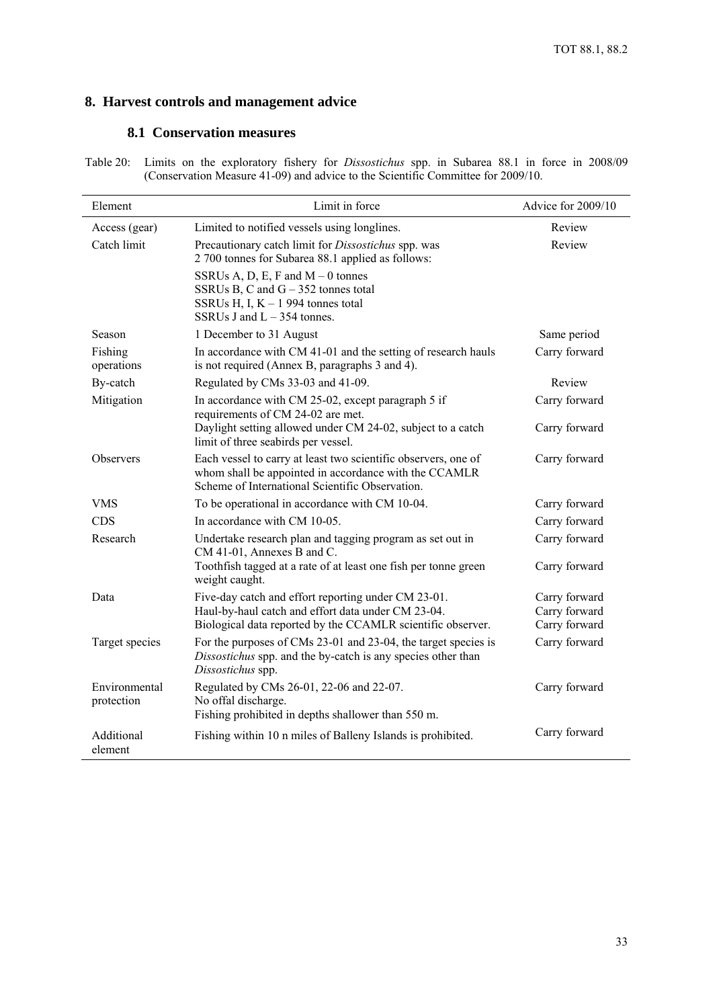# <span id="page-35-0"></span>**8. Harvest controls and management advice**

#### **8.1 Conservation measures**

Table 20: Limits on the exploratory fishery for *Dissostichus* spp. in Subarea 88.1 in force in 2008/09 (Conservation Measure 41-09) and advice to the Scientific Committee for 2009/10.

| Element                     | Limit in force                                                                                                                                                             |               |
|-----------------------------|----------------------------------------------------------------------------------------------------------------------------------------------------------------------------|---------------|
| Access (gear)               | Limited to notified vessels using longlines.                                                                                                                               | Review        |
| Catch limit                 | Precautionary catch limit for <i>Dissostichus</i> spp. was<br>2 700 tonnes for Subarea 88.1 applied as follows:                                                            | Review        |
|                             | SSRUs A, D, E, F and $M - 0$ tonnes<br>SSRUs B, C and $G - 352$ tonnes total<br>SSRUs H, I, $K - 1$ 994 tonnes total<br>SSRUs J and $L - 354$ tonnes.                      |               |
| Season                      | 1 December to 31 August                                                                                                                                                    | Same period   |
| Fishing<br>operations       | In accordance with CM 41-01 and the setting of research hauls<br>is not required (Annex B, paragraphs 3 and 4).                                                            | Carry forward |
| By-catch                    | Regulated by CMs 33-03 and 41-09.                                                                                                                                          | Review        |
| Mitigation                  | In accordance with CM 25-02, except paragraph 5 if<br>requirements of CM 24-02 are met.                                                                                    | Carry forward |
|                             | Daylight setting allowed under CM 24-02, subject to a catch<br>limit of three seabirds per vessel.                                                                         | Carry forward |
| <b>Observers</b>            | Each vessel to carry at least two scientific observers, one of<br>whom shall be appointed in accordance with the CCAMLR<br>Scheme of International Scientific Observation. | Carry forward |
| VMS                         | To be operational in accordance with CM 10-04.                                                                                                                             | Carry forward |
| <b>CDS</b>                  | In accordance with CM 10-05                                                                                                                                                | Carry forward |
| Research                    | Undertake research plan and tagging program as set out in<br>CM 41-01, Annexes B and C.                                                                                    | Carry forward |
|                             | Toothfish tagged at a rate of at least one fish per tonne green<br>weight caught.                                                                                          | Carry forward |
| Data                        | Five-day catch and effort reporting under CM 23-01.                                                                                                                        | Carry forward |
|                             | Haul-by-haul catch and effort data under CM 23-04.                                                                                                                         | Carry forward |
|                             | Biological data reported by the CCAMLR scientific observer.                                                                                                                | Carry forward |
| Target species              | For the purposes of CMs 23-01 and 23-04, the target species is<br>Dissostichus spp. and the by-catch is any species other than<br>Dissostichus spp.                        | Carry forward |
| Environmental<br>protection | Regulated by CMs 26-01, 22-06 and 22-07.<br>No offal discharge.<br>Fishing prohibited in depths shallower than 550 m.                                                      | Carry forward |
| Additional<br>element       | Fishing within 10 n miles of Balleny Islands is prohibited.                                                                                                                | Carry forward |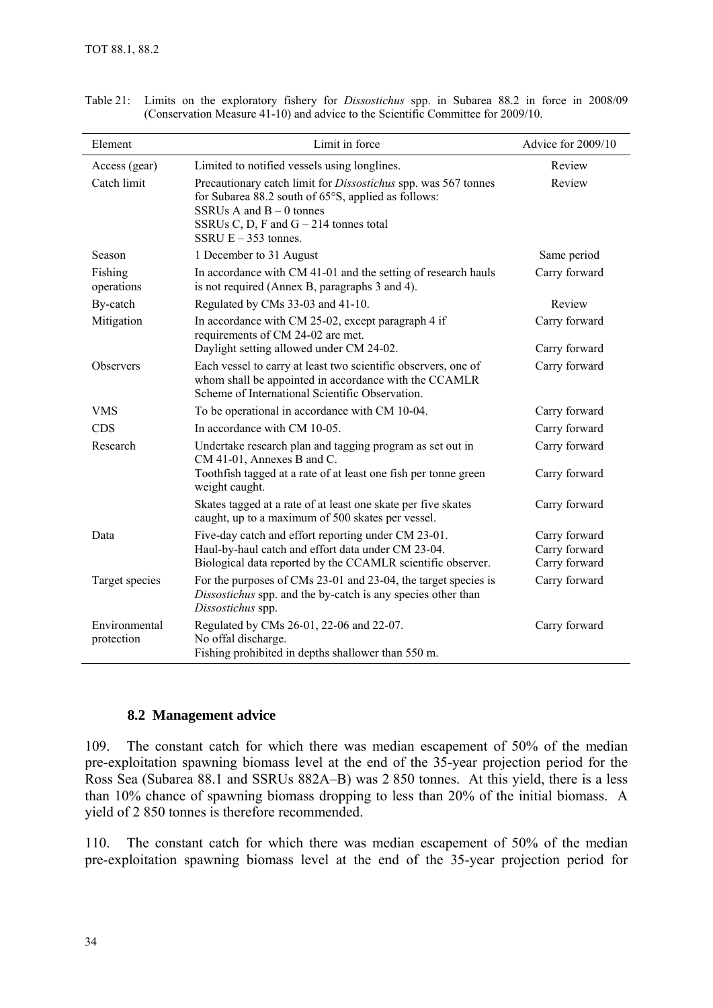| Element                     | Limit in force                                                                                                                                                                                                                   | Advice for 2009/10                              |
|-----------------------------|----------------------------------------------------------------------------------------------------------------------------------------------------------------------------------------------------------------------------------|-------------------------------------------------|
| Access (gear)               | Limited to notified vessels using longlines.                                                                                                                                                                                     | Review                                          |
| Catch limit                 | Precautionary catch limit for <i>Dissostichus</i> spp. was 567 tonnes<br>for Subarea 88.2 south of 65°S, applied as follows:<br>SSRUs A and $B - 0$ tonnes<br>SSRUs C, D, F and $G - 214$ tonnes total<br>SSRU $E - 353$ tonnes. | Review                                          |
| Season                      | 1 December to 31 August                                                                                                                                                                                                          | Same period                                     |
| Fishing<br>operations       | In accordance with CM 41-01 and the setting of research hauls<br>is not required (Annex B, paragraphs 3 and 4).                                                                                                                  | Carry forward                                   |
| By-catch                    | Regulated by CMs 33-03 and 41-10.                                                                                                                                                                                                | Review                                          |
| Mitigation                  | In accordance with CM 25-02, except paragraph 4 if<br>requirements of CM 24-02 are met.                                                                                                                                          | Carry forward                                   |
|                             | Daylight setting allowed under CM 24-02.                                                                                                                                                                                         | Carry forward                                   |
| Observers                   | Each vessel to carry at least two scientific observers, one of<br>whom shall be appointed in accordance with the CCAMLR<br>Scheme of International Scientific Observation.                                                       | Carry forward                                   |
| <b>VMS</b>                  | To be operational in accordance with CM 10-04.                                                                                                                                                                                   | Carry forward                                   |
| <b>CDS</b>                  | In accordance with CM 10-05.                                                                                                                                                                                                     | Carry forward                                   |
| Research                    | Undertake research plan and tagging program as set out in<br>CM 41-01, Annexes B and C.                                                                                                                                          | Carry forward                                   |
|                             | Toothfish tagged at a rate of at least one fish per tonne green<br>weight caught.                                                                                                                                                | Carry forward                                   |
|                             | Skates tagged at a rate of at least one skate per five skates<br>caught, up to a maximum of 500 skates per vessel.                                                                                                               | Carry forward                                   |
| Data                        | Five-day catch and effort reporting under CM 23-01.<br>Haul-by-haul catch and effort data under CM 23-04.<br>Biological data reported by the CCAMLR scientific observer.                                                         | Carry forward<br>Carry forward<br>Carry forward |
| Target species              | For the purposes of CMs 23-01 and 23-04, the target species is<br>Dissostichus spp. and the by-catch is any species other than<br>Dissostichus spp.                                                                              | Carry forward                                   |
| Environmental<br>protection | Regulated by CMs 26-01, 22-06 and 22-07.<br>No offal discharge.<br>Fishing prohibited in depths shallower than 550 m.                                                                                                            | Carry forward                                   |

<span id="page-36-0"></span>Table 21: Limits on the exploratory fishery for *Dissostichus* spp. in Subarea 88.2 in force in 2008/09 (Conservation Measure 41-10) and advice to the Scientific Committee for 2009/10.

## **8.2 Management advice**

109. The constant catch for which there was median escapement of 50% of the median pre-exploitation spawning biomass level at the end of the 35-year projection period for the Ross Sea (Subarea 88.1 and SSRUs 882A–B) was 2 850 tonnes. At this yield, there is a less than 10% chance of spawning biomass dropping to less than 20% of the initial biomass. A yield of 2 850 tonnes is therefore recommended.

110. The constant catch for which there was median escapement of 50% of the median pre-exploitation spawning biomass level at the end of the 35-year projection period for